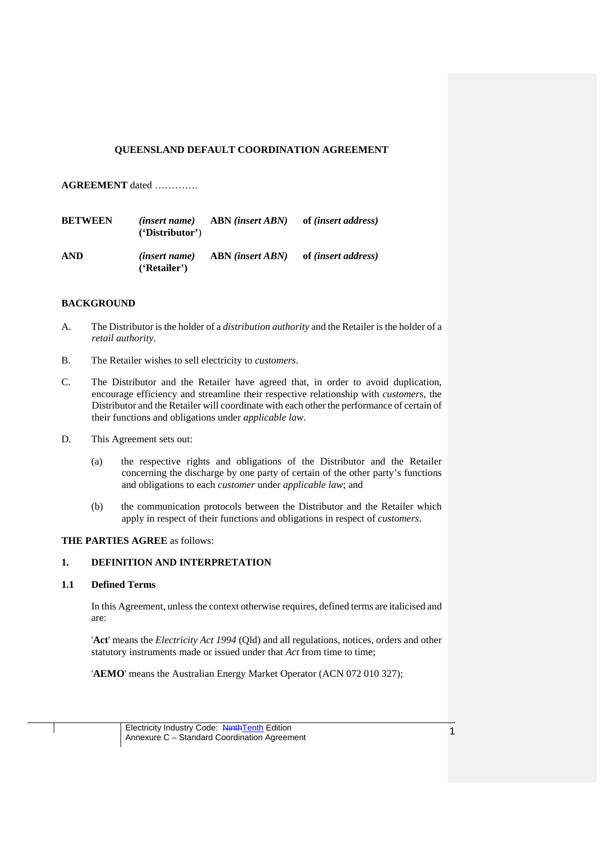## **QUEENSLAND DEFAULT COORDINATION AGREEMENT**

**AGREEMENT** dated ………….

| <b>BETWEEN</b> | <i>(insert name)</i><br>'Distribution' | <b>ABN</b> (insert ABN) | of <i>(insert address)</i> |
|----------------|----------------------------------------|-------------------------|----------------------------|
| <b>AND</b>     | <i>(insert name)</i><br>('Retailer')   | <b>ABN</b> (insert ABN) | of <i>(insert address)</i> |

### **BACKGROUND**

- A. The Distributor is the holder of a *distribution authority* and the Retailer is the holder of a *retail authority*.
- B. The Retailer wishes to sell electricity to *customers*.
- C. The Distributor and the Retailer have agreed that, in order to avoid duplication, encourage efficiency and streamline their respective relationship with *customers*, the Distributor and the Retailer will coordinate with each other the performance of certain of their functions and obligations under *applicable law*.
- D. This Agreement sets out:
	- (a) the respective rights and obligations of the Distributor and the Retailer concerning the discharge by one party of certain of the other party's functions and obligations to each *customer* under *applicable law*; and
	- (b) the communication protocols between the Distributor and the Retailer which apply in respect of their functions and obligations in respect of *customers*.

### **THE PARTIES AGREE** as follows:

### **1. DEFINITION AND INTERPRETATION**

#### **1.1 Defined Terms**

In this Agreement, unless the context otherwise requires, defined terms are italicised and are:

'**Act**' means the *Electricity Act 1994* (Qld) and all regulations, notices, orders and other statutory instruments made or issued under that *Act* from time to time;

'**AEMO**' means the Australian Energy Market Operator (ACN 072 010 327);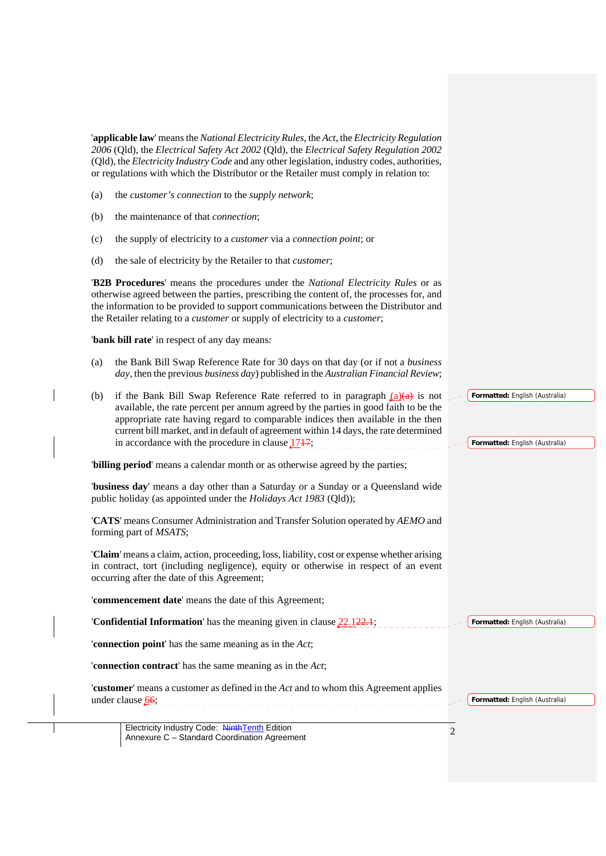|     | 'applicable law' means the National Electricity Rules, the Act, the Electricity Regulation<br>2006 (Qld), the Electrical Safety Act 2002 (Qld), the Electrical Safety Regulation 2002<br>(Qld), the Electricity Industry Code and any other legislation, industry codes, authorities,<br>or regulations with which the Distributor or the Retailer must comply in relation to:                         |                |                                                                  |
|-----|--------------------------------------------------------------------------------------------------------------------------------------------------------------------------------------------------------------------------------------------------------------------------------------------------------------------------------------------------------------------------------------------------------|----------------|------------------------------------------------------------------|
| (a) | the customer's connection to the supply network;                                                                                                                                                                                                                                                                                                                                                       |                |                                                                  |
| (b) | the maintenance of that <i>connection</i> ;                                                                                                                                                                                                                                                                                                                                                            |                |                                                                  |
| (c) | the supply of electricity to a <i>customer</i> via a <i>connection point</i> ; or                                                                                                                                                                                                                                                                                                                      |                |                                                                  |
| (d) | the sale of electricity by the Retailer to that <i>customer</i> ;                                                                                                                                                                                                                                                                                                                                      |                |                                                                  |
|     | <b>B2B Procedures'</b> means the procedures under the <i>National Electricity Rules</i> or as<br>otherwise agreed between the parties, prescribing the content of, the processes for, and<br>the information to be provided to support communications between the Distributor and<br>the Retailer relating to a <i>customer</i> or supply of electricity to a <i>customer</i> ;                        |                |                                                                  |
|     | 'bank bill rate' in respect of any day means:                                                                                                                                                                                                                                                                                                                                                          |                |                                                                  |
| (a) | the Bank Bill Swap Reference Rate for 30 days on that day (or if not a business<br>day, then the previous business day) published in the Australian Financial Review;                                                                                                                                                                                                                                  |                |                                                                  |
| (b) | if the Bank Bill Swap Reference Rate referred to in paragraph $(a)(a)$ is not<br>available, the rate percent per annum agreed by the parties in good faith to be the<br>appropriate rate having regard to comparable indices then available in the then<br>current bill market, and in default of agreement within 14 days, the rate determined<br>in accordance with the procedure in clause $1717$ ; |                | Formatted: English (Australia)<br>Formatted: English (Australia) |
|     | 'billing period' means a calendar month or as otherwise agreed by the parties;                                                                                                                                                                                                                                                                                                                         |                |                                                                  |
|     | "business day" means a day other than a Saturday or a Sunday or a Queensland wide<br>public holiday (as appointed under the <i>Holidays Act 1983</i> (Qld));                                                                                                                                                                                                                                           |                |                                                                  |
|     | 'CATS' means Consumer Administration and Transfer Solution operated by AEMO and<br>forming part of <i>MSATS</i> ;                                                                                                                                                                                                                                                                                      |                |                                                                  |
|     | 'Claim' means a claim, action, proceeding, loss, liability, cost or expense whether arising<br>in contract, tort (including negligence), equity or otherwise in respect of an event<br>occurring after the date of this Agreement;                                                                                                                                                                     |                |                                                                  |
|     | 'commencement date' means the date of this Agreement;                                                                                                                                                                                                                                                                                                                                                  |                |                                                                  |
|     | <b>Confidential Information</b> has the meaning given in clause $22.122.1$ ;                                                                                                                                                                                                                                                                                                                           |                | Formatted: English (Australia)                                   |
|     | 'connection point' has the same meaning as in the Act;                                                                                                                                                                                                                                                                                                                                                 |                |                                                                  |
|     | 'connection contract' has the same meaning as in the Act;                                                                                                                                                                                                                                                                                                                                              |                |                                                                  |
|     | <b>'customer'</b> means a customer as defined in the <i>Act</i> and to whom this Agreement applies<br>under clause 66;                                                                                                                                                                                                                                                                                 |                | Formatted: English (Australia)                                   |
|     | Electricity Industry Code: NinthTenth Edition<br>Annexure C - Standard Coordination Agreement                                                                                                                                                                                                                                                                                                          | $\overline{2}$ |                                                                  |
|     |                                                                                                                                                                                                                                                                                                                                                                                                        |                |                                                                  |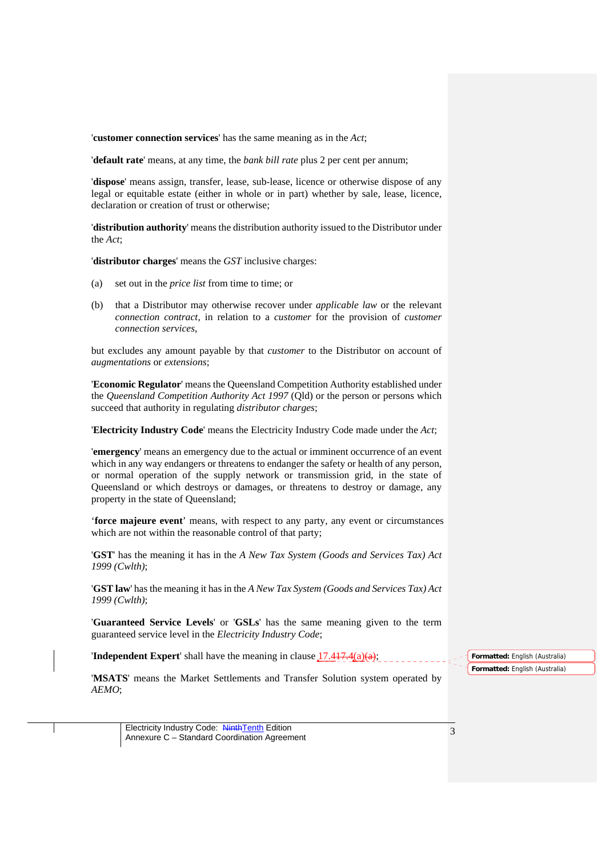'**customer connection services**' has the same meaning as in the *Act*;

'**default rate**' means, at any time, the *bank bill rate* plus 2 per cent per annum;

'**dispose**' means assign, transfer, lease, sub-lease, licence or otherwise dispose of any legal or equitable estate (either in whole or in part) whether by sale, lease, licence, declaration or creation of trust or otherwise;

'**distribution authority**' means the distribution authority issued to the Distributor under the *Act*;

'**distributor charges**' means the *GST* inclusive charges:

- (a) set out in the *price list* from time to time; or
- (b) that a Distributor may otherwise recover under *applicable law* or the relevant *connection contract*, in relation to a *customer* for the provision of *customer connection services*,

but excludes any amount payable by that *customer* to the Distributor on account of *augmentations* or *extensions*;

'**Economic Regulator**' means the Queensland Competition Authority established under the *Queensland Competition Authority Act 1997* (Qld) or the person or persons which succeed that authority in regulating *distributor charges*;

'**Electricity Industry Code**' means the Electricity Industry Code made under the *Act*;

'**emergency**' means an emergency due to the actual or imminent occurrence of an event which in any way endangers or threatens to endanger the safety or health of any person, or normal operation of the supply network or transmission grid, in the state of Queensland or which destroys or damages, or threatens to destroy or damage, any property in the state of Queensland;

'**force majeure event**' means, with respect to any party, any event or circumstances which are not within the reasonable control of that party;

'**GST**' has the meaning it has in the *A New Tax System (Goods and Services Tax) Act 1999 (Cwlth)*;

'**GST law**' has the meaning it has in the *A New Tax System (Goods and Services Tax) Act 1999 (Cwlth)*;

'**Guaranteed Service Levels**' or '**GSLs**' has the same meaning given to the term guaranteed service level in the *Electricity Industry Code*;

**'Independent Expert'** shall have the meaning in clause  $17.417.4(a)(a)$ ;

**Formatted:** English (Australia) **Formatted:** English (Australia)

'**MSATS**' means the Market Settlements and Transfer Solution system operated by *AEMO*;

Electricity Industry Code: NinthTenth Edition Electricity Industry Code: Ninth Lenth Edition<br>
Annexure C – Standard Coordination Agreement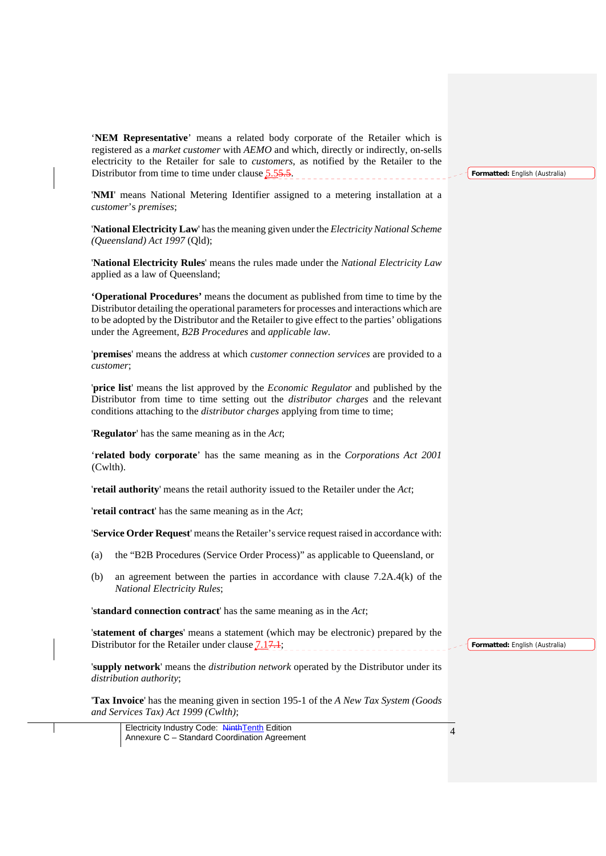'**NEM Representative**' means a related body corporate of the Retailer which is registered as a *market customer* with *AEMO* and which, directly or indirectly, on-sells electricity to the Retailer for sale to *customers*, as notified by the Retailer to the Distributor from time to time under clause 5.55.5.

'**NMI**' means National Metering Identifier assigned to a metering installation at a *customer*'s *premises*;

'**National Electricity Law**' has the meaning given under the *Electricity National Scheme (Queensland) Act 1997* (Qld);

'**National Electricity Rules**' means the rules made under the *National Electricity Law* applied as a law of Queensland;

**'Operational Procedures'** means the document as published from time to time by the Distributor detailing the operational parameters for processes and interactions which are to be adopted by the Distributor and the Retailer to give effect to the parties' obligations under the Agreement, *B2B Procedures* and *applicable law*.

'**premises**' means the address at which *customer connection services* are provided to a *customer*;

'**price list**' means the list approved by the *Economic Regulator* and published by the Distributor from time to time setting out the *distributor charges* and the relevant conditions attaching to the *distributor charges* applying from time to time;

'**Regulator**' has the same meaning as in the *Act*;

'**related body corporate**' has the same meaning as in the *Corporations Act 2001*  (Cwlth).

'**retail authority**' means the retail authority issued to the Retailer under the *Act*;

'**retail contract**' has the same meaning as in the *Act*;

'**Service Order Request**' means the Retailer's service request raised in accordance with:

- (a) the "B2B Procedures (Service Order Process)" as applicable to Queensland, or
- (b) an agreement between the parties in accordance with clause 7.2A.4(k) of the *National Electricity Rules*;

'**standard connection contract**' has the same meaning as in the *Act*;

'**statement of charges**' means a statement (which may be electronic) prepared by the Distributor for the Retailer under clause  $7.17.1$ ;

'**supply network**' means the *distribution network* operated by the Distributor under its *distribution authority*;

'**Tax Invoice**' has the meaning given in section 195-1 of the *A New Tax System (Goods and Services Tax) Act 1999 (Cwlth)*;

Electricity Industry Code: NinthTenth Edition Electricity Industry Code: Ninth Lenth Edition<br>Annexure C – Standard Coordination Agreement **Formatted:** English (Australia)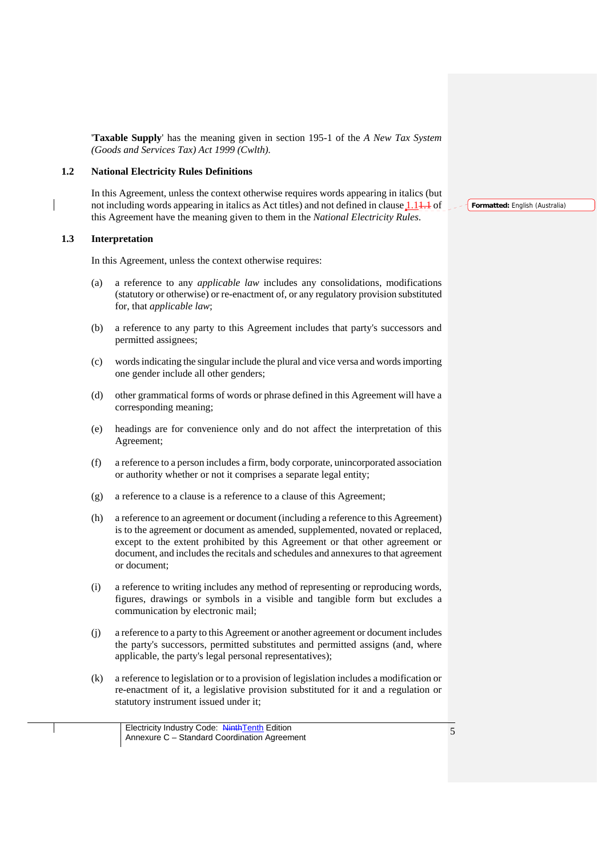'**Taxable Supply**' has the meaning given in section 195-1 of the *A New Tax System (Goods and Services Tax) Act 1999 (Cwlth)*.

### **1.2 National Electricity Rules Definitions**

In this Agreement, unless the context otherwise requires words appearing in italics (but not including words appearing in italics as Act titles) and not defined in clause  $1.1 + 1$  of this Agreement have the meaning given to them in the *National Electricity Rules*.

### **1.3 Interpretation**

In this Agreement, unless the context otherwise requires:

- (a) a reference to any *applicable law* includes any consolidations, modifications (statutory or otherwise) or re-enactment of, or any regulatory provision substituted for, that *applicable law*;
- (b) a reference to any party to this Agreement includes that party's successors and permitted assignees;
- (c) words indicating the singular include the plural and vice versa and words importing one gender include all other genders;
- (d) other grammatical forms of words or phrase defined in this Agreement will have a corresponding meaning;
- (e) headings are for convenience only and do not affect the interpretation of this Agreement;
- (f) a reference to a person includes a firm, body corporate, unincorporated association or authority whether or not it comprises a separate legal entity;
- (g) a reference to a clause is a reference to a clause of this Agreement;
- (h) a reference to an agreement or document (including a reference to this Agreement) is to the agreement or document as amended, supplemented, novated or replaced, except to the extent prohibited by this Agreement or that other agreement or document, and includes the recitals and schedules and annexures to that agreement or document;
- (i) a reference to writing includes any method of representing or reproducing words, figures, drawings or symbols in a visible and tangible form but excludes a communication by electronic mail;
- (j) a reference to a party to this Agreement or another agreement or document includes the party's successors, permitted substitutes and permitted assigns (and, where applicable, the party's legal personal representatives);
- (k) a reference to legislation or to a provision of legislation includes a modification or re-enactment of it, a legislative provision substituted for it and a regulation or statutory instrument issued under it;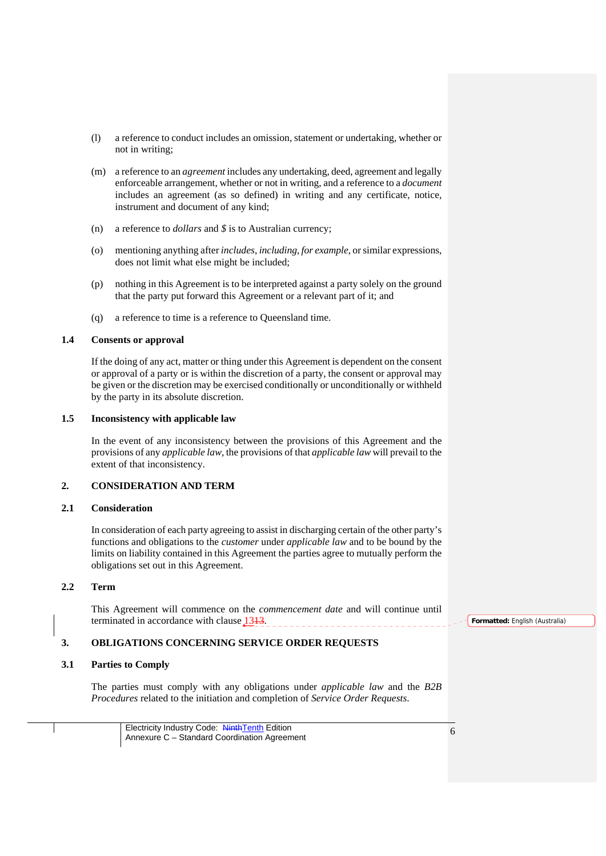- (l) a reference to conduct includes an omission, statement or undertaking, whether or not in writing;
- (m) a reference to an *agreement* includes any undertaking, deed, agreement and legally enforceable arrangement, whether or not in writing, and a reference to a *document* includes an agreement (as so defined) in writing and any certificate, notice, instrument and document of any kind;
- (n) a reference to *dollars* and *\$* is to Australian currency;
- (o) mentioning anything after *includes*, *including*, *for example*, or similar expressions, does not limit what else might be included;
- (p) nothing in this Agreement is to be interpreted against a party solely on the ground that the party put forward this Agreement or a relevant part of it; and
- (q) a reference to time is a reference to Queensland time.

### **1.4 Consents or approval**

If the doing of any act, matter or thing under this Agreement is dependent on the consent or approval of a party or is within the discretion of a party, the consent or approval may be given or the discretion may be exercised conditionally or unconditionally or withheld by the party in its absolute discretion.

#### **1.5 Inconsistency with applicable law**

In the event of any inconsistency between the provisions of this Agreement and the provisions of any *applicable law*, the provisions of that *applicable law* will prevail to the extent of that inconsistency.

## **2. CONSIDERATION AND TERM**

### **2.1 Consideration**

In consideration of each party agreeing to assist in discharging certain of the other party's functions and obligations to the *customer* under *applicable law* and to be bound by the limits on liability contained in this Agreement the parties agree to mutually perform the obligations set out in this Agreement.

## **2.2 Term**

This Agreement will commence on the *commencement date* and will continue until terminated in accordance with clause  $1313$ . 

### **3. OBLIGATIONS CONCERNING SERVICE ORDER REQUESTS**

### **3.1 Parties to Comply**

The parties must comply with any obligations under *applicable law* and the *B2B Procedures* related to the initiation and completion of *Service Order Requests*.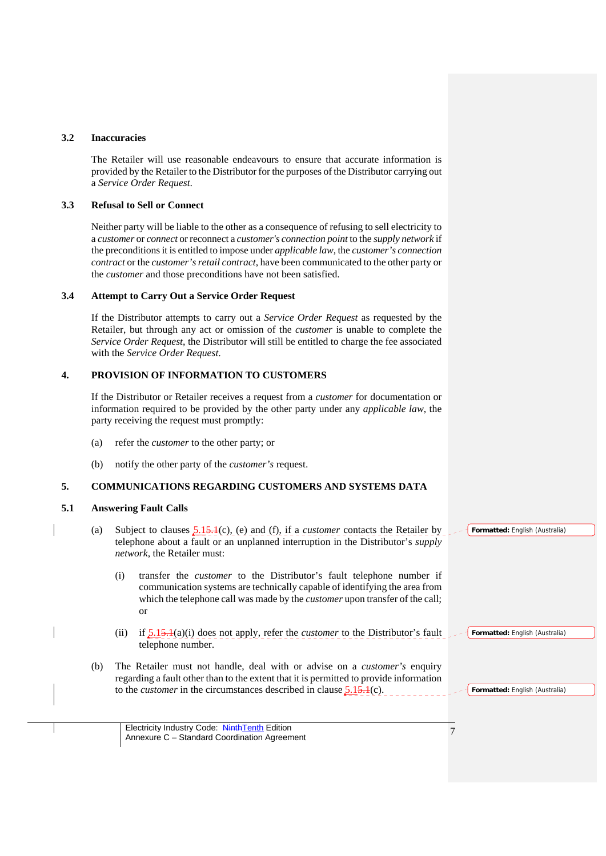### **3.2 Inaccuracies**

The Retailer will use reasonable endeavours to ensure that accurate information is provided by the Retailer to the Distributor for the purposes of the Distributor carrying out a *Service Order Request*.

### **3.3 Refusal to Sell or Connect**

Neither party will be liable to the other as a consequence of refusing to sell electricity to a *customer* or *connect* or reconnect a *customer's connection point* to the *supply network* if the preconditions it is entitled to impose under *applicable law,* the *customer's connection contract* or the *customer's retail contract*, have been communicated to the other party or the *customer* and those preconditions have not been satisfied.

### **3.4 Attempt to Carry Out a Service Order Request**

If the Distributor attempts to carry out a *Service Order Request* as requested by the Retailer, but through any act or omission of the *customer* is unable to complete the *Service Order Request*, the Distributor will still be entitled to charge the fee associated with the *Service Order Request*.

## **4. PROVISION OF INFORMATION TO CUSTOMERS**

If the Distributor or Retailer receives a request from a *customer* for documentation or information required to be provided by the other party under any *applicable law*, the party receiving the request must promptly:

- (a) refer the *customer* to the other party; or
- (b) notify the other party of the *customer's* request.

## **5. COMMUNICATIONS REGARDING CUSTOMERS AND SYSTEMS DATA**

#### **5.1 Answering Fault Calls**

- (a) Subject to clauses 5.15.1(c), (e) and (f), if a *customer* contacts the Retailer by telephone about a fault or an unplanned interruption in the Distributor's *supply network*, the Retailer must:
	- (i) transfer the *customer* to the Distributor's fault telephone number if communication systems are technically capable of identifying the area from which the telephone call was made by the *customer* upon transfer of the call; or
	- (ii) if 5.15.1(a)(i) does not apply, refer the *customer* to the Distributor's fault telephone number. **Formatted:** English (Australia)
- (b) The Retailer must not handle, deal with or advise on a *customer's* enquiry regarding a fault other than to the extent that it is permitted to provide information to the *customer* in the circumstances described in clause 5.15.1(c).

**Formatted:** English (Australia)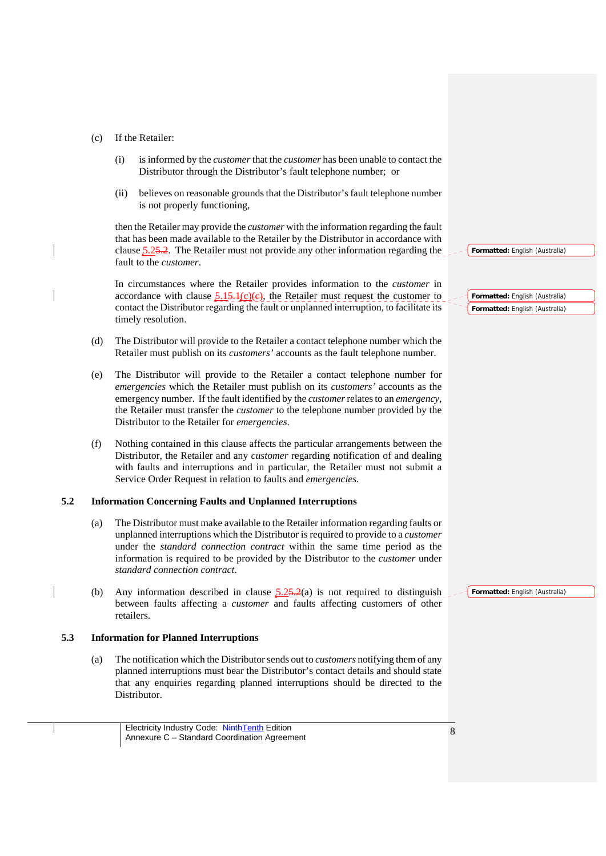### (c) If the Retailer:

- (i) is informed by the *customer* that the *customer* has been unable to contact the Distributor through the Distributor's fault telephone number; or
- (ii) believes on reasonable grounds that the Distributor's fault telephone number is not properly functioning,

then the Retailer may provide the *customer* with the information regarding the fault that has been made available to the Retailer by the Distributor in accordance with clause  $\frac{5.25.2}{5.25}$ . The Retailer must not provide any other information regarding the fault to the *customer*.

In circumstances where the Retailer provides information to the *customer* in accordance with clause  $\frac{5.15 \cdot 1(c)(e)}{c}$ , the Retailer must request the customer to contact the Distributor regarding the fault or unplanned interruption, to facilitate its timely resolution.

- (d) The Distributor will provide to the Retailer a contact telephone number which the Retailer must publish on its *customers'* accounts as the fault telephone number.
- (e) The Distributor will provide to the Retailer a contact telephone number for *emergencies* which the Retailer must publish on its *customers'* accounts as the emergency number. If the fault identified by the *customer* relates to an *emergency*, the Retailer must transfer the *customer* to the telephone number provided by the Distributor to the Retailer for *emergencies*.
- (f) Nothing contained in this clause affects the particular arrangements between the Distributor, the Retailer and any *customer* regarding notification of and dealing with faults and interruptions and in particular, the Retailer must not submit a Service Order Request in relation to faults and *emergencies*.

### **5.2 Information Concerning Faults and Unplanned Interruptions**

- (a) The Distributor must make available to the Retailer information regarding faults or unplanned interruptions which the Distributor is required to provide to a *customer* under the *standard connection contract* within the same time period as the information is required to be provided by the Distributor to the *customer* under *standard connection contract*.
- (b) Any information described in clause  $\frac{5.25 \cdot 2}{a}$  is not required to distinguish between faults affecting a *customer* and faults affecting customers of other retailers.

#### **5.3 Information for Planned Interruptions**

(a) The notification which the Distributor sends out to *customers* notifying them of any planned interruptions must bear the Distributor's contact details and should state that any enquiries regarding planned interruptions should be directed to the Distributor.

**Formatted:** English (Australia)

**Formatted:** English (Australia) **Formatted:** English (Australia)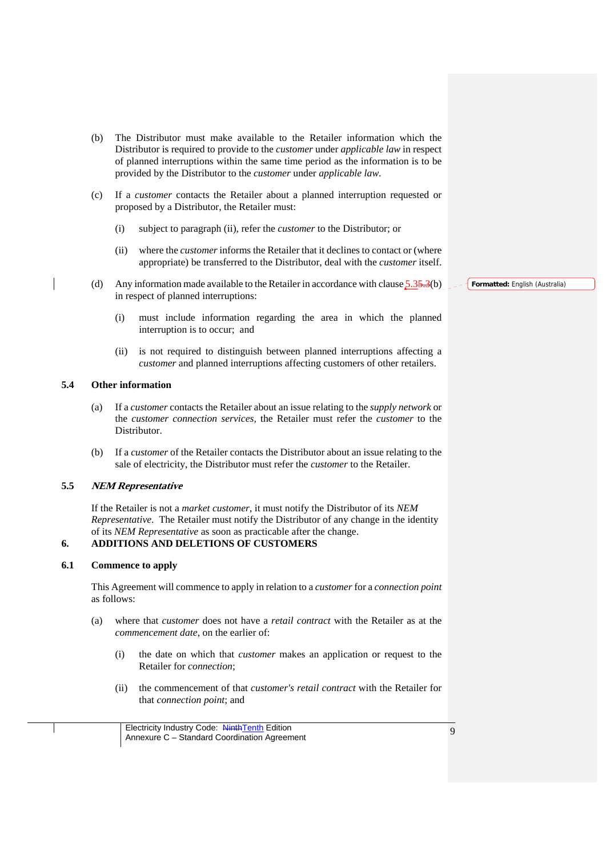- (b) The Distributor must make available to the Retailer information which the Distributor is required to provide to the *customer* under *applicable law* in respect of planned interruptions within the same time period as the information is to be provided by the Distributor to the *customer* under *applicable law*.
- (c) If a *customer* contacts the Retailer about a planned interruption requested or proposed by a Distributor, the Retailer must:
	- (i) subject to paragraph (ii), refer the *customer* to the Distributor; or
	- (ii) where the *customer* informs the Retailer that it declines to contact or (where appropriate) be transferred to the Distributor, deal with the *customer* itself.
- (d) Any information made available to the Retailer in accordance with clause  $5.35.3(b)$ in respect of planned interruptions:
	- (i) must include information regarding the area in which the planned interruption is to occur; and
	- (ii) is not required to distinguish between planned interruptions affecting a *customer* and planned interruptions affecting customers of other retailers.

### **5.4 Other information**

- (a) If a *customer* contacts the Retailer about an issue relating to the *supply network* or the *customer connection services*, the Retailer must refer the *customer* to the Distributor.
- (b) If a *customer* of the Retailer contacts the Distributor about an issue relating to the sale of electricity, the Distributor must refer the *customer* to the Retailer.

### **5.5 NEM Representative**

If the Retailer is not a *market customer*, it must notify the Distributor of its *NEM Representative*. The Retailer must notify the Distributor of any change in the identity of its *NEM Representative* as soon as practicable after the change.

#### **6. ADDITIONS AND DELETIONS OF CUSTOMERS**

### **6.1 Commence to apply**

This Agreement will commence to apply in relation to a *customer* for a *connection point* as follows:

- (a) where that *customer* does not have a *retail contract* with the Retailer as at the *commencement date*, on the earlier of:
	- (i) the date on which that *customer* makes an application or request to the Retailer for *connection*;
	- (ii) the commencement of that *customer's retail contract* with the Retailer for that *connection point*; and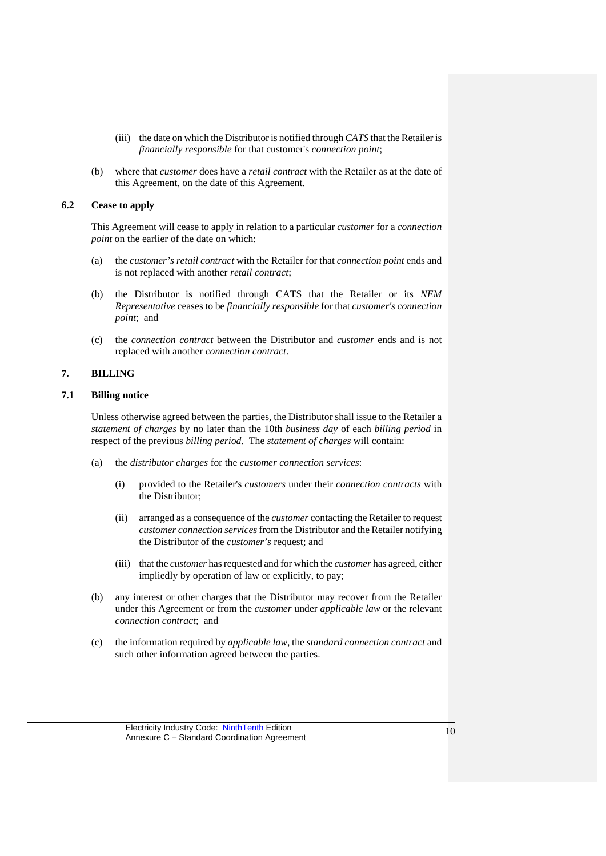- (iii) the date on which the Distributor is notified through *CATS* that the Retailer is *financially responsible* for that customer's *connection point*;
- (b) where that *customer* does have a *retail contract* with the Retailer as at the date of this Agreement, on the date of this Agreement.

## **6.2 Cease to apply**

This Agreement will cease to apply in relation to a particular *customer* for a *connection point* on the earlier of the date on which:

- (a) the *customer's retail contract* with the Retailer for that *connection point* ends and is not replaced with another *retail contract*;
- (b) the Distributor is notified through CATS that the Retailer or its *NEM Representative* ceases to be *financially responsible* for that *customer's connection point*; and
- (c) the *connection contract* between the Distributor and *customer* ends and is not replaced with another *connection contract*.

# **7. BILLING**

## **7.1 Billing notice**

Unless otherwise agreed between the parties, the Distributor shall issue to the Retailer a *statement of charges* by no later than the 10th *business day* of each *billing period* in respect of the previous *billing period*. The *statement of charges* will contain:

- (a) the *distributor charges* for the *customer connection services*:
	- (i) provided to the Retailer's *customers* under their *connection contracts* with the Distributor;
	- (ii) arranged as a consequence of the *customer* contacting the Retailer to request *customer connection services* from the Distributor and the Retailer notifying the Distributor of the *customer's* request; and
	- (iii) that the *customer* has requested and for which the *customer* has agreed, either impliedly by operation of law or explicitly, to pay;
- (b) any interest or other charges that the Distributor may recover from the Retailer under this Agreement or from the *customer* under *applicable law* or the relevant *connection contract*; and
- (c) the information required by *applicable law*, the *standard connection contract* and such other information agreed between the parties.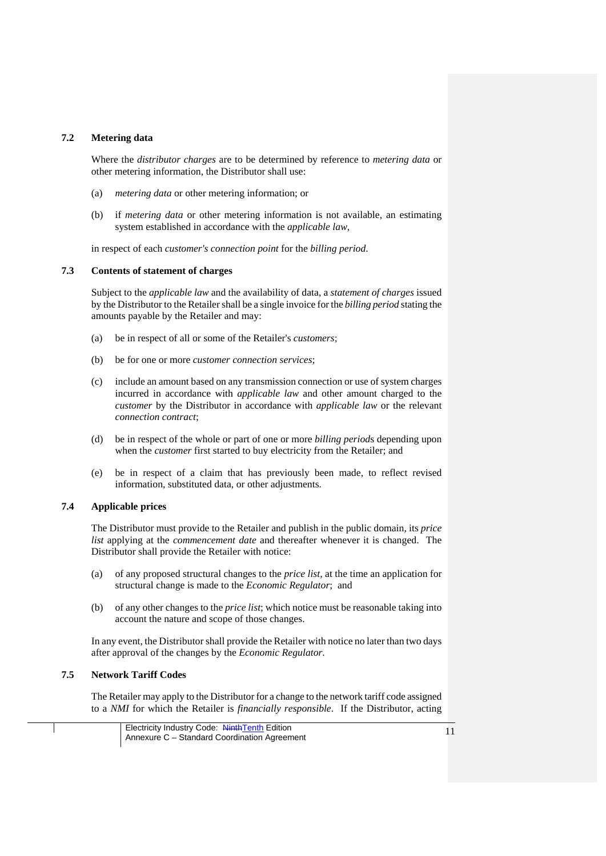### **7.2 Metering data**

Where the *distributor charges* are to be determined by reference to *metering data* or other metering information, the Distributor shall use:

- (a) *metering data* or other metering information; or
- (b) if *metering data* or other metering information is not available, an estimating system established in accordance with the *applicable law*,

in respect of each *customer's connection point* for the *billing period*.

#### **7.3 Contents of statement of charges**

Subject to the *applicable law* and the availability of data, a *statement of charges* issued by the Distributor to the Retailer shall be a single invoice for the *billing period* stating the amounts payable by the Retailer and may:

- (a) be in respect of all or some of the Retailer's *customers*;
- (b) be for one or more *customer connection services*;
- (c) include an amount based on any transmission connection or use of system charges incurred in accordance with *applicable law* and other amount charged to the *customer* by the Distributor in accordance with *applicable law* or the relevant *connection contract*;
- (d) be in respect of the whole or part of one or more *billing period*s depending upon when the *customer* first started to buy electricity from the Retailer; and
- (e) be in respect of a claim that has previously been made, to reflect revised information, substituted data, or other adjustments.

# **7.4 Applicable prices**

The Distributor must provide to the Retailer and publish in the public domain, its *price list* applying at the *commencement date* and thereafter whenever it is changed. The Distributor shall provide the Retailer with notice:

- (a) of any proposed structural changes to the *price list*, at the time an application for structural change is made to the *Economic Regulator*; and
- (b) of any other changes to the *price list*; which notice must be reasonable taking into account the nature and scope of those changes.

In any event, the Distributor shall provide the Retailer with notice no later than two days after approval of the changes by the *Economic Regulator*.

## **7.5 Network Tariff Codes**

The Retailer may apply to the Distributor for a change to the network tariff code assigned to a *NMI* for which the Retailer is *financially responsible*. If the Distributor, acting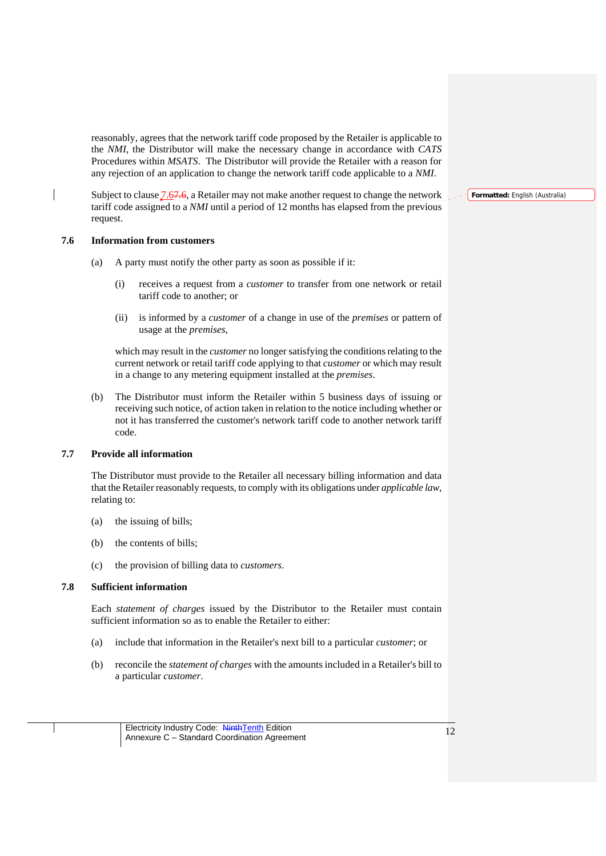reasonably, agrees that the network tariff code proposed by the Retailer is applicable to the *NMI*, the Distributor will make the necessary change in accordance with *CATS* Procedures within *MSATS*. The Distributor will provide the Retailer with a reason for any rejection of an application to change the network tariff code applicable to a *NMI*.

Subject to clause  $7.67.6$ , a Retailer may not make another request to change the network tariff code assigned to a *NMI* until a period of 12 months has elapsed from the previous request.

### **7.6 Information from customers**

- (a) A party must notify the other party as soon as possible if it:
	- (i) receives a request from a *customer* to transfer from one network or retail tariff code to another; or
	- (ii) is informed by a *customer* of a change in use of the *premises* or pattern of usage at the *premises*,

which may result in the *customer* no longer satisfying the conditions relating to the current network or retail tariff code applying to that *customer* or which may result in a change to any metering equipment installed at the *premises*.

(b) The Distributor must inform the Retailer within 5 business days of issuing or receiving such notice, of action taken in relation to the notice including whether or not it has transferred the customer's network tariff code to another network tariff code.

### **7.7 Provide all information**

The Distributor must provide to the Retailer all necessary billing information and data that the Retailer reasonably requests, to comply with its obligations under *applicable law*, relating to:

- (a) the issuing of bills;
- (b) the contents of bills;
- (c) the provision of billing data to *customers*.

### **7.8 Sufficient information**

Each *statement of charges* issued by the Distributor to the Retailer must contain sufficient information so as to enable the Retailer to either:

- (a) include that information in the Retailer's next bill to a particular *customer*; or
- (b) reconcile the *statement of charges* with the amounts included in a Retailer's bill to a particular *customer*.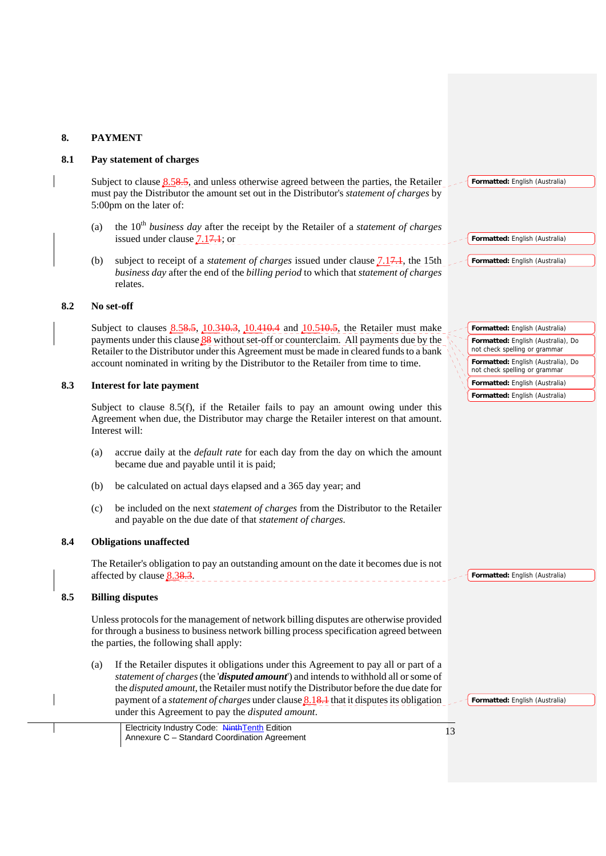# **8. PAYMENT**

### **8.1 Pay statement of charges**

Subject to clause  $8.58.5$ , and unless otherwise agreed between the parties, the Retailer must pay the Distributor the amount set out in the Distributor's *statement of charges* by 5:00pm on the later of:

- (a) the 10th *business day* after the receipt by the Retailer of a *statement of charges* issued under clause  $7.17.1$ ; or
- (b) subject to receipt of a *statement of charges* issued under clause 7.17.1, the 15th *business day* after the end of the *billing period* to which that *statement of charges* relates.

# **8.2 No set-off**

Subject to clauses 8.58.5, 10.310.3, 10.410.4 and 10.510.5, the Retailer must make payments under this clause 88 without set-off or counterclaim. All payments due by the Retailer to the Distributor under this Agreement must be made in cleared funds to a bank account nominated in writing by the Distributor to the Retailer from time to time.

### **8.3 Interest for late payment**

Subject to clause 8.5(f), if the Retailer fails to pay an amount owing under this Agreement when due, the Distributor may charge the Retailer interest on that amount. Interest will:

- (a) accrue daily at the *default rate* for each day from the day on which the amount became due and payable until it is paid;
- (b) be calculated on actual days elapsed and a 365 day year; and
- (c) be included on the next *statement of charges* from the Distributor to the Retailer and payable on the due date of that *statement of charges*.

## **8.4 Obligations unaffected**

The Retailer's obligation to pay an outstanding amount on the date it becomes due is not affected by clause 8.38.3. 

## **8.5 Billing disputes**

Unless protocols for the management of network billing disputes are otherwise provided for through a business to business network billing process specification agreed between the parties, the following shall apply:

(a) If the Retailer disputes it obligations under this Agreement to pay all or part of a *statement of charges* (the '*disputed amount*') and intends to withhold all or some of the *disputed amount*, the Retailer must notify the Distributor before the due date for payment of a *statement of charges* under clause 8.18.1 that it disputes its obligation under this Agreement to pay the *disputed amount*.

Electricity Industry Code: NinthTenth Edition Electricity Industry Code: Ninth Lenth Edition<br>Annexure C – Standard Coordination Agreement

| Formatted: English (Australia) |  |  |  |  |
|--------------------------------|--|--|--|--|
|                                |  |  |  |  |

| Formatted: English (Australia) |  |
|--------------------------------|--|
|--------------------------------|--|

- **Formatted:** English (Australia)
- **Formatted:** English (Australia) **Formatted:** English (Australia), Do not check spelling or grammar **Formatted:** English (Australia), Do not check spelling or grammar **Formatted:** English (Australia)
- **Formatted:** English (Australia)

**Formatted:** English (Australia)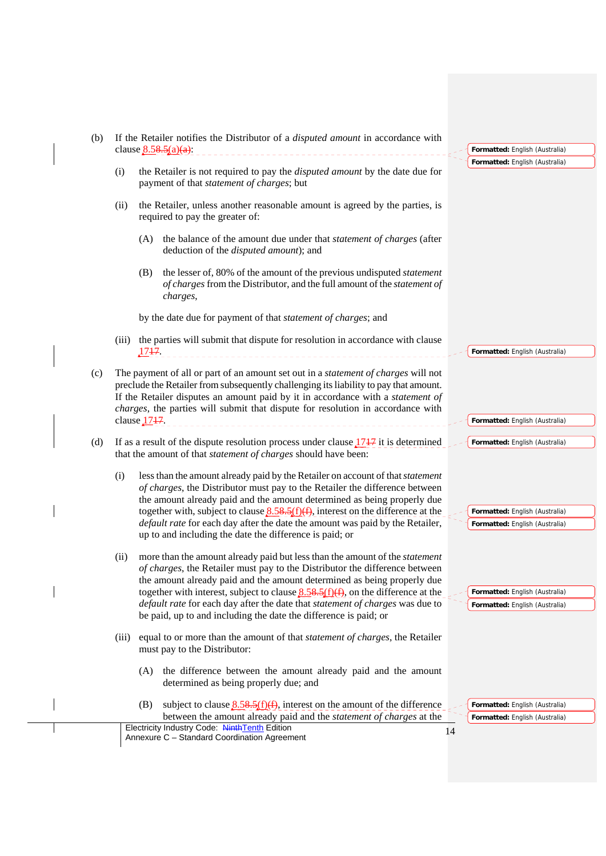| clause $8.58.5(a)(a)$ :<br>(i)<br>(ii)<br>(A)<br>(B)<br>charges,<br>(iii)<br>1747.<br>(c)<br>clause $1717$ .<br>(d)<br>(i)<br>(ii)<br>(iii) | the Retailer is not required to pay the <i>disputed amount</i> by the date due for                                                                                                                                                                                                                                                                       | Formatted: English (Australia)<br>Formatted: English (Australia) |
|---------------------------------------------------------------------------------------------------------------------------------------------|----------------------------------------------------------------------------------------------------------------------------------------------------------------------------------------------------------------------------------------------------------------------------------------------------------------------------------------------------------|------------------------------------------------------------------|
|                                                                                                                                             |                                                                                                                                                                                                                                                                                                                                                          |                                                                  |
|                                                                                                                                             | payment of that statement of charges; but                                                                                                                                                                                                                                                                                                                |                                                                  |
|                                                                                                                                             | the Retailer, unless another reasonable amount is agreed by the parties, is<br>required to pay the greater of:                                                                                                                                                                                                                                           |                                                                  |
|                                                                                                                                             | the balance of the amount due under that <i>statement of charges</i> (after<br>deduction of the <i>disputed amount</i> ); and                                                                                                                                                                                                                            |                                                                  |
|                                                                                                                                             | the lesser of, 80% of the amount of the previous undisputed <i>statement</i><br>of charges from the Distributor, and the full amount of the statement of                                                                                                                                                                                                 |                                                                  |
|                                                                                                                                             | by the date due for payment of that statement of charges; and                                                                                                                                                                                                                                                                                            |                                                                  |
|                                                                                                                                             | the parties will submit that dispute for resolution in accordance with clause                                                                                                                                                                                                                                                                            | Formatted: English (Australia)                                   |
|                                                                                                                                             | The payment of all or part of an amount set out in a <i>statement of charges</i> will not<br>preclude the Retailer from subsequently challenging its liability to pay that amount.<br>If the Retailer disputes an amount paid by it in accordance with a statement of<br>charges, the parties will submit that dispute for resolution in accordance with |                                                                  |
|                                                                                                                                             |                                                                                                                                                                                                                                                                                                                                                          | Formatted: English (Australia)                                   |
|                                                                                                                                             | If as a result of the dispute resolution process under clause $1747$ it is determined<br>that the amount of that statement of charges should have been:                                                                                                                                                                                                  | Formatted: English (Australia)                                   |
|                                                                                                                                             | less than the amount already paid by the Retailer on account of that <i>statement</i><br>of charges, the Distributor must pay to the Retailer the difference between<br>the amount already paid and the amount determined as being properly due                                                                                                          |                                                                  |
|                                                                                                                                             | together with, subject to clause $8.58.5(f)(f)$ , interest on the difference at the<br>default rate for each day after the date the amount was paid by the Retailer,<br>up to and including the date the difference is paid; or                                                                                                                          | Formatted: English (Australia)<br>Formatted: English (Australia) |
|                                                                                                                                             | more than the amount already paid but less than the amount of the <i>statement</i><br>of charges, the Retailer must pay to the Distributor the difference between<br>the amount already paid and the amount determined as being properly due<br>together with interest, subject to clause $8.58.5(f)(f)$ , on the difference at the                      | Formatted: English (Australia)                                   |
|                                                                                                                                             | default rate for each day after the date that statement of charges was due to<br>be paid, up to and including the date the difference is paid; or                                                                                                                                                                                                        | Formatted: English (Australia)                                   |
|                                                                                                                                             | equal to or more than the amount of that <i>statement of charges</i> , the Retailer<br>must pay to the Distributor:                                                                                                                                                                                                                                      |                                                                  |
| (A)                                                                                                                                         | the difference between the amount already paid and the amount<br>determined as being properly due; and                                                                                                                                                                                                                                                   |                                                                  |
| (B)                                                                                                                                         | subject to clause $8.58.5(f)(f)$ , interest on the amount of the difference<br>between the amount already paid and the <i>statement of charges</i> at the                                                                                                                                                                                                | Formatted: English (Australia)                                   |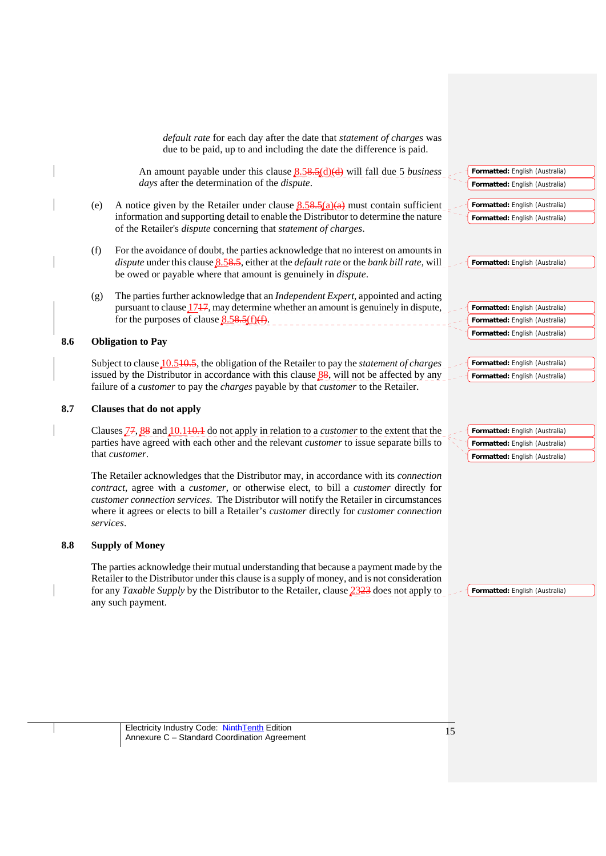|     |     | default rate for each day after the date that statement of charges was<br>due to be paid, up to and including the date the difference is paid.                                                                                                                                                                                                                                    |                                |
|-----|-----|-----------------------------------------------------------------------------------------------------------------------------------------------------------------------------------------------------------------------------------------------------------------------------------------------------------------------------------------------------------------------------------|--------------------------------|
|     |     | An amount payable under this clause $8.58.5(d)(d)$ will fall due 5 <i>business</i>                                                                                                                                                                                                                                                                                                | Formatted: English (Australia) |
|     |     | days after the determination of the dispute.                                                                                                                                                                                                                                                                                                                                      | Formatted: English (Australia) |
|     | (e) | A notice given by the Retailer under clause $8.58.5(a)(a)$ must contain sufficient                                                                                                                                                                                                                                                                                                | Formatted: English (Australia) |
|     |     | information and supporting detail to enable the Distributor to determine the nature<br>of the Retailer's <i>dispute</i> concerning that <i>statement of charges</i> .                                                                                                                                                                                                             | Formatted: English (Australia) |
|     | (f) | For the avoidance of doubt, the parties acknowledge that no interest on amounts in<br><i>dispute</i> under this clause $8.58.5$ , either at the <i>default rate</i> or the <i>bank bill rate</i> , will                                                                                                                                                                           | Formatted: English (Australia) |
|     |     | be owed or payable where that amount is genuinely in <i>dispute</i> .                                                                                                                                                                                                                                                                                                             |                                |
|     | (g) | The parties further acknowledge that an Independent Expert, appointed and acting                                                                                                                                                                                                                                                                                                  |                                |
|     |     | pursuant to clause 1747, may determine whether an amount is genuinely in dispute,                                                                                                                                                                                                                                                                                                 | Formatted: English (Australia) |
|     |     | for the purposes of clause $8.58.5(f)(f)$ .                                                                                                                                                                                                                                                                                                                                       | Formatted: English (Australia) |
| 8.6 |     | <b>Obligation to Pay</b>                                                                                                                                                                                                                                                                                                                                                          | Formatted: English (Australia) |
|     |     | Subject to clause $10.540,5$ , the obligation of the Retailer to pay the <i>statement of charges</i>                                                                                                                                                                                                                                                                              | Formatted: English (Australia) |
|     |     | issued by the Distributor in accordance with this clause $88$ , will not be affected by any<br>failure of a <i>customer</i> to pay the <i>charges</i> payable by that <i>customer</i> to the Retailer.                                                                                                                                                                            | Formatted: English (Australia) |
| 8.7 |     | Clauses that do not apply                                                                                                                                                                                                                                                                                                                                                         |                                |
|     |     | Clauses $\frac{77}{2}$ , $\frac{88}{2}$ and $\frac{10.110}{2}$ do not apply in relation to a <i>customer</i> to the extent that the                                                                                                                                                                                                                                               | Formatted: English (Australia) |
|     |     | parties have agreed with each other and the relevant <i>customer</i> to issue separate bills to                                                                                                                                                                                                                                                                                   | Formatted: English (Australia) |
|     |     | that customer.                                                                                                                                                                                                                                                                                                                                                                    | Formatted: English (Australia) |
|     |     | The Retailer acknowledges that the Distributor may, in accordance with its connection<br>contract, agree with a customer, or otherwise elect, to bill a customer directly for<br>customer connection services. The Distributor will notify the Retailer in circumstances<br>where it agrees or elects to bill a Retailer's customer directly for customer connection<br>services. |                                |
| 8.8 |     | <b>Supply of Money</b>                                                                                                                                                                                                                                                                                                                                                            |                                |
|     |     | The parties acknowledge their mutual understanding that because a payment made by the                                                                                                                                                                                                                                                                                             |                                |

**Formatted:** English (Australia)

Electricity Industry Code: NinthTenth Edition Annexure C – Standard Coordination Agreement <sup>15</sup>

any such payment.

Retailer to the Distributor under this clause is a supply of money, and is not consideration for any *Taxable Supply* by the Distributor to the Retailer, clause 2323 does not apply to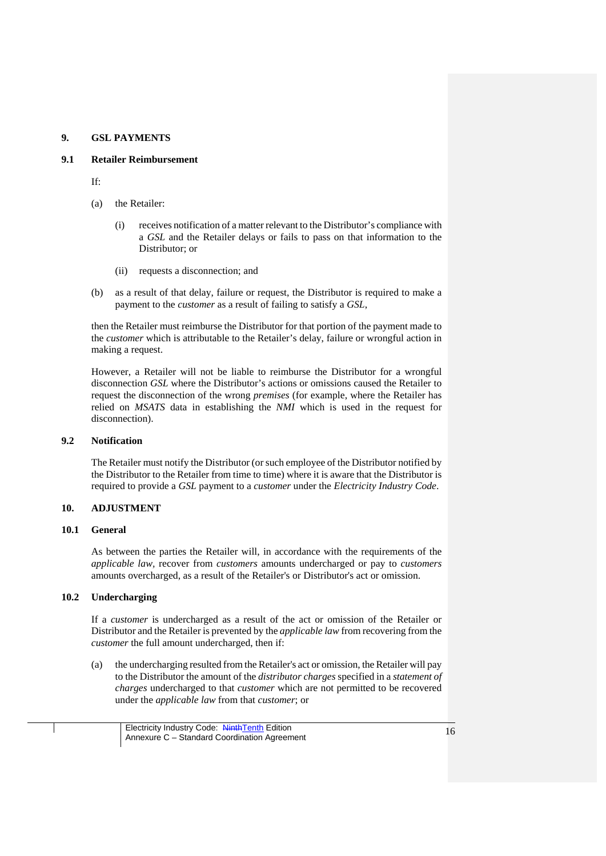### **9. GSL PAYMENTS**

#### **9.1 Retailer Reimbursement**

If:

- (a) the Retailer:
	- (i) receives notification of a matter relevant to the Distributor's compliance with a *GSL* and the Retailer delays or fails to pass on that information to the Distributor; or
	- (ii) requests a disconnection; and
- (b) as a result of that delay, failure or request, the Distributor is required to make a payment to the *customer* as a result of failing to satisfy a *GSL*,

then the Retailer must reimburse the Distributor for that portion of the payment made to the *customer* which is attributable to the Retailer's delay, failure or wrongful action in making a request.

However, a Retailer will not be liable to reimburse the Distributor for a wrongful disconnection *GSL* where the Distributor's actions or omissions caused the Retailer to request the disconnection of the wrong *premises* (for example, where the Retailer has relied on *MSATS* data in establishing the *NMI* which is used in the request for disconnection).

### **9.2 Notification**

The Retailer must notify the Distributor (or such employee of the Distributor notified by the Distributor to the Retailer from time to time) where it is aware that the Distributor is required to provide a *GSL* payment to a *customer* under the *Electricity Industry Code*.

### **10. ADJUSTMENT**

### **10.1 General**

As between the parties the Retailer will, in accordance with the requirements of the *applicable law,* recover from *customers* amounts undercharged or pay to *customers*  amounts overcharged, as a result of the Retailer's or Distributor's act or omission.

## **10.2 Undercharging**

If a *customer* is undercharged as a result of the act or omission of the Retailer or Distributor and the Retailer is prevented by the *applicable law* from recovering from the *customer* the full amount undercharged, then if:

(a) the undercharging resulted from the Retailer's act or omission, the Retailer will pay to the Distributor the amount of the *distributor charges* specified in a *statement of charges* undercharged to that *customer* which are not permitted to be recovered under the *applicable law* from that *customer*; or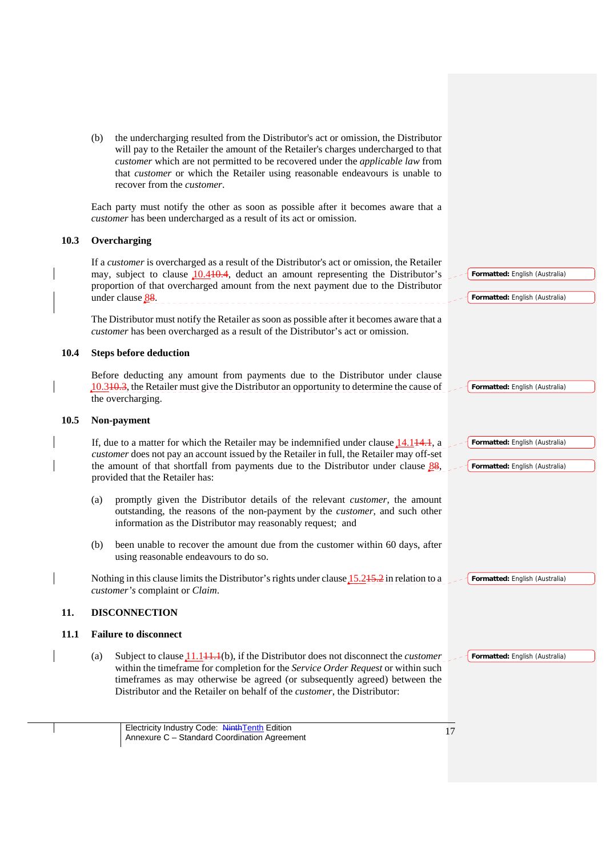(b) the undercharging resulted from the Distributor's act or omission, the Distributor will pay to the Retailer the amount of the Retailer's charges undercharged to that *customer* which are not permitted to be recovered under the *applicable law* from that *customer* or which the Retailer using reasonable endeavours is unable to recover from the *customer*.

Each party must notify the other as soon as possible after it becomes aware that a *customer* has been undercharged as a result of its act or omission.

## **10.3 Overcharging**

If a *customer* is overcharged as a result of the Distributor's act or omission, the Retailer may, subject to clause 10.410.4, deduct an amount representing the Distributor's proportion of that overcharged amount from the next payment due to the Distributor under clause <u>8</u>8.

The Distributor must notify the Retailer as soon as possible after it becomes aware that a *customer* has been overcharged as a result of the Distributor's act or omission.

#### **10.4 Steps before deduction**

Before deducting any amount from payments due to the Distributor under clause 10.310.3, the Retailer must give the Distributor an opportunity to determine the cause of the overcharging.

### **10.5 Non-payment**

If, due to a matter for which the Retailer may be indemnified under clause 14.144.1, a *customer* does not pay an account issued by the Retailer in full, the Retailer may off-set the amount of that shortfall from payments due to the Distributor under clause  $88$ , provided that the Retailer has:

- (a) promptly given the Distributor details of the relevant *customer*, the amount outstanding, the reasons of the non-payment by the *customer*, and such other information as the Distributor may reasonably request; and
- (b) been unable to recover the amount due from the customer within 60 days, after using reasonable endeavours to do so.

Nothing in this clause limits the Distributor's rights under clause 15.245.2 in relation to a *customer's* complaint or *Claim*.

### **11. DISCONNECTION**

#### **11.1 Failure to disconnect**

(a) Subject to clause 11.111.1(b), if the Distributor does not disconnect the *customer*  within the timeframe for completion for the *Service Order Request* or within such timeframes as may otherwise be agreed (or subsequently agreed) between the Distributor and the Retailer on behalf of the *customer*, the Distributor:

**Formatted:** English (Australia)

**Formatted:** English (Australia)

**Formatted:** English (Australia)

**Formatted:** English (Australia)

**Formatted:** English (Australia)

**Formatted:** English (Australia)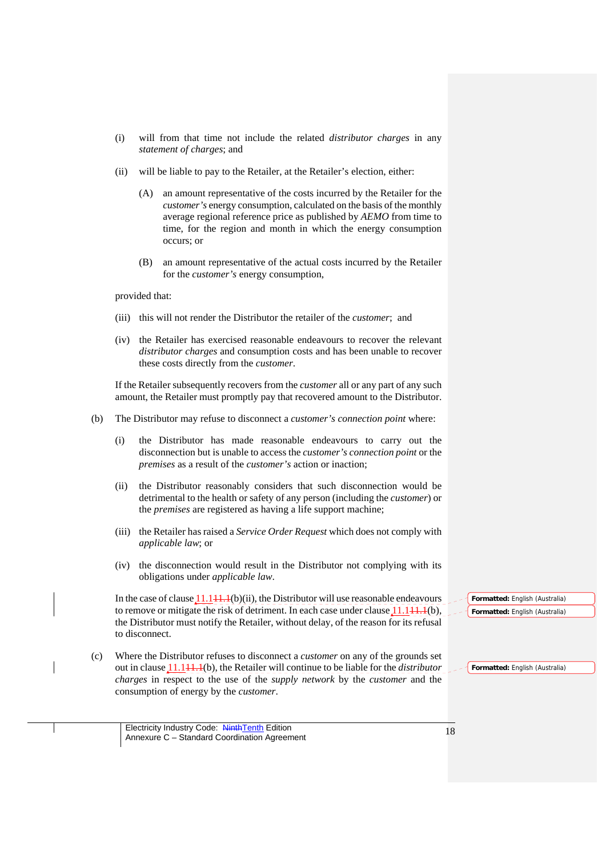- (i) will from that time not include the related *distributor charges* in any *statement of charges*; and
- (ii) will be liable to pay to the Retailer, at the Retailer's election, either:
	- (A) an amount representative of the costs incurred by the Retailer for the *customer's* energy consumption, calculated on the basis of the monthly average regional reference price as published by *AEMO* from time to time, for the region and month in which the energy consumption occurs; or
	- (B) an amount representative of the actual costs incurred by the Retailer for the *customer's* energy consumption,

provided that:

- (iii) this will not render the Distributor the retailer of the *customer*; and
- (iv) the Retailer has exercised reasonable endeavours to recover the relevant *distributor charges* and consumption costs and has been unable to recover these costs directly from the *customer*.

If the Retailer subsequently recovers from the *customer* all or any part of any such amount, the Retailer must promptly pay that recovered amount to the Distributor.

- (b) The Distributor may refuse to disconnect a *customer's connection point* where:
	- (i) the Distributor has made reasonable endeavours to carry out the disconnection but is unable to access the *customer's connection point* or the *premises* as a result of the *customer's* action or inaction;
	- (ii) the Distributor reasonably considers that such disconnection would be detrimental to the health or safety of any person (including the *customer*) or the *premises* are registered as having a life support machine;
	- (iii) the Retailer has raised a *Service Order Request* which does not comply with *applicable law*; or
	- (iv) the disconnection would result in the Distributor not complying with its obligations under *applicable law*.

In the case of clause  $11.11+1.1(b)(ii)$ , the Distributor will use reasonable endeavours to remove or mitigate the risk of detriment. In each case under clause  $11.141.1(b)$ , the Distributor must notify the Retailer, without delay, of the reason for its refusal to disconnect.

(c) Where the Distributor refuses to disconnect a *customer* on any of the grounds set out in clause 11.111.1(b), the Retailer will continue to be liable for the *distributor charges* in respect to the use of the *supply network* by the *customer* and the consumption of energy by the *customer*.

**Formatted:** English (Australia) **Formatted:** English (Australia)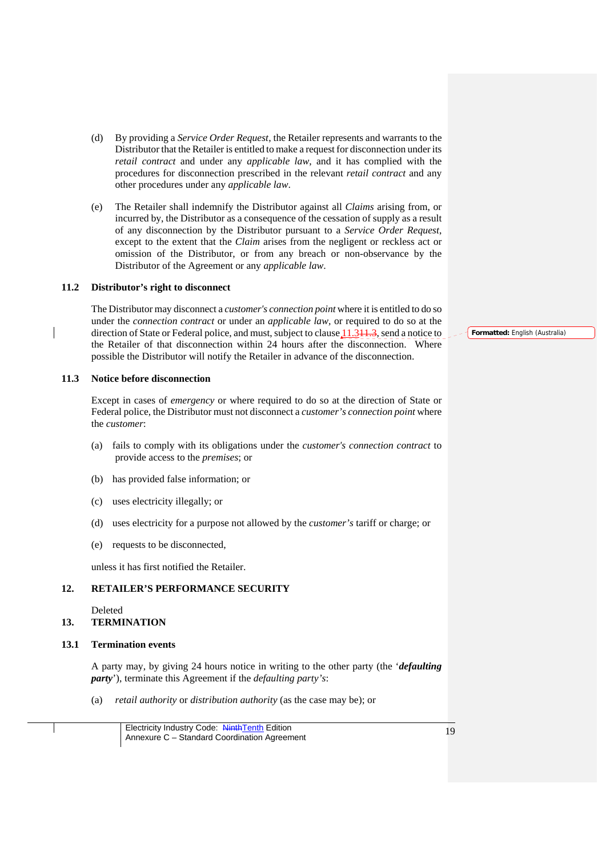- (d) By providing a *Service Order Request*, the Retailer represents and warrants to the Distributor that the Retailer is entitled to make a request for disconnection under its *retail contract* and under any *applicable law*, and it has complied with the procedures for disconnection prescribed in the relevant *retail contract* and any other procedures under any *applicable law*.
- (e) The Retailer shall indemnify the Distributor against all *Claims* arising from, or incurred by, the Distributor as a consequence of the cessation of supply as a result of any disconnection by the Distributor pursuant to a *Service Order Request*, except to the extent that the *Claim* arises from the negligent or reckless act or omission of the Distributor, or from any breach or non-observance by the Distributor of the Agreement or any *applicable law*.

#### **11.2 Distributor's right to disconnect**

The Distributor may disconnect a *customer's connection point* where it is entitled to do so under the *connection contract* or under an *applicable law,* or required to do so at the direction of State or Federal police, and must, subject to clause 11.344.3, send a notice to the Retailer of that disconnection within 24 hours after the disconnection. Where possible the Distributor will notify the Retailer in advance of the disconnection.

#### **11.3 Notice before disconnection**

Except in cases of *emergency* or where required to do so at the direction of State or Federal police, the Distributor must not disconnect a *customer's connection point* where the *customer*:

- (a) fails to comply with its obligations under the *customer's connection contract* to provide access to the *premises*; or
- (b) has provided false information; or
- (c) uses electricity illegally; or
- (d) uses electricity for a purpose not allowed by the *customer's* tariff or charge; or
- (e) requests to be disconnected,

unless it has first notified the Retailer.

### **12. RETAILER'S PERFORMANCE SECURITY**

Deleted

#### **13. TERMINATION**

#### **13.1 Termination events**

A party may, by giving 24 hours notice in writing to the other party (the '*defaulting party*'), terminate this Agreement if the *defaulting party's*:

(a) *retail authority* or *distribution authority* (as the case may be); or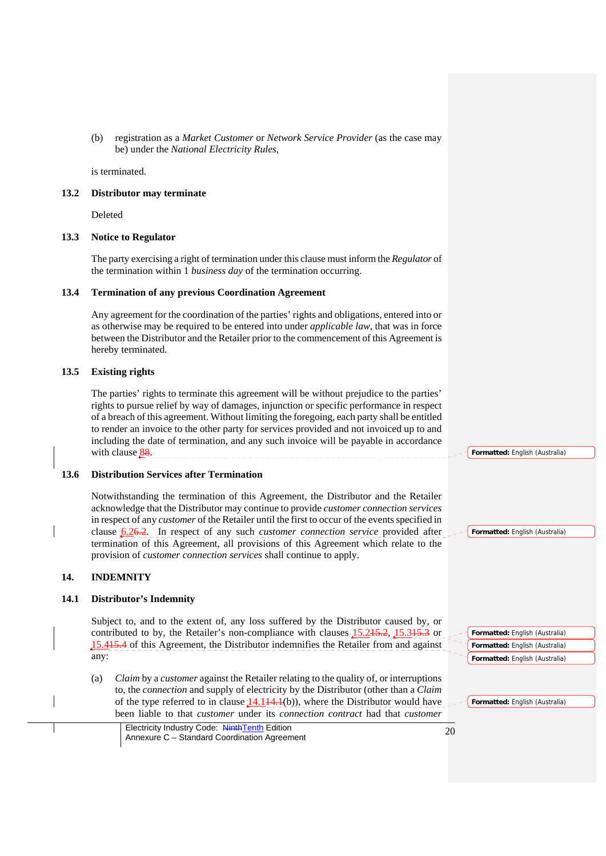(b) registration as a *Market Customer* or *Network Service Provider* (as the case may be) under the *National Electricity Rules*,

is terminated.

### **13.2 Distributor may terminate**

Deleted

### **13.3 Notice to Regulator**

The party exercising a right of termination under this clause must inform the *Regulator* of the termination within 1 *business day* of the termination occurring.

### **13.4 Termination of any previous Coordination Agreement**

Any agreement for the coordination of the parties' rights and obligations, entered into or as otherwise may be required to be entered into under *applicable law*, that was in force between the Distributor and the Retailer prior to the commencement of this Agreement is hereby terminated.

## **13.5 Existing rights**

The parties' rights to terminate this agreement will be without prejudice to the parties' rights to pursue relief by way of damages, injunction or specific performance in respect of a breach of this agreement. Without limiting the foregoing, each party shall be entitled to render an invoice to the other party for services provided and not invoiced up to and including the date of termination, and any such invoice will be payable in accordance with clause  $88.$ 

# **13.6 Distribution Services after Termination**

Notwithstanding the termination of this Agreement, the Distributor and the Retailer acknowledge that the Distributor may continue to provide *customer connection services* in respect of any *customer* of the Retailer until the first to occur of the events specified in clause 6.26.2. In respect of any such *customer connection service* provided after termination of this Agreement, all provisions of this Agreement which relate to the provision of *customer connection services* shall continue to apply.

## **14. INDEMNITY**

## **14.1 Distributor's Indemnity**

Subject to, and to the extent of, any loss suffered by the Distributor caused by, or contributed to by, the Retailer's non-compliance with clauses 15.215.2, 15.315.3 or 15.415.4 of this Agreement, the Distributor indemnifies the Retailer from and against any:

(a) *Claim* by a *customer* against the Retailer relating to the quality of, or interruptions to, the *connection* and supply of electricity by the Distributor (other than a *Claim* of the type referred to in clause  $14.144.1(b)$ , where the Distributor would have been liable to that *customer* under its *connection contract* had that *customer* 

| Electricity Industry Code: NinthTenth Edition | 20 |
|-----------------------------------------------|----|
| Annexure C - Standard Coordination Agreement  |    |

**Formatted:** English (Australia)

**Formatted:** English (Australia)

**Formatted:** English (Australia) **Formatted:** English (Australia) **Formatted:** English (Australia)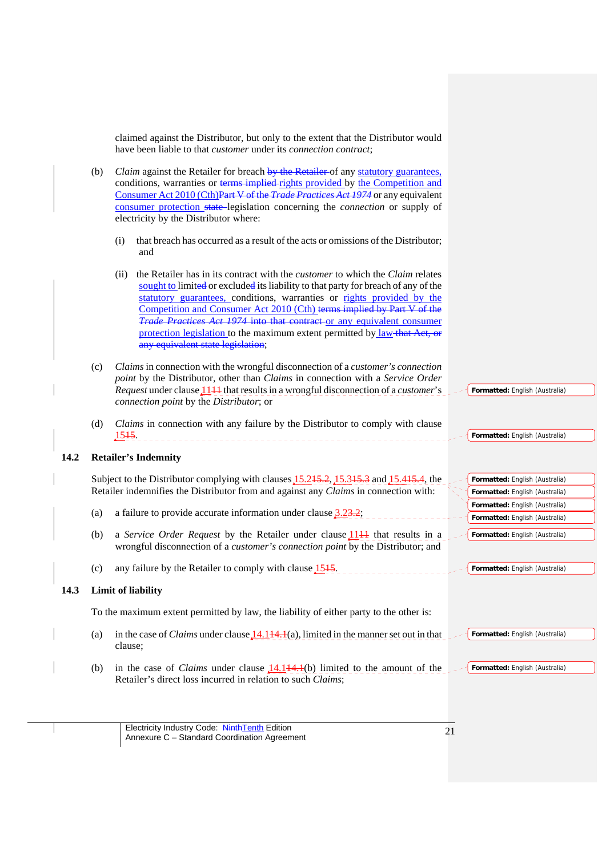claimed against the Distributor, but only to the extent that the Distributor would have been liable to that *customer* under its *connection contract*;

- (b) *Claim* against the Retailer for breach by the Retailer of any statutory guarantees, conditions, warranties or terms implied rights provided by the Competition and Consumer Act 2010 (Cth)Part V of the *Trade Practices Act 1974* or any equivalent consumer protection state legislation concerning the *connection* or supply of electricity by the Distributor where:
	- (i) that breach has occurred as a result of the acts or omissions of the Distributor; and
	- (ii) the Retailer has in its contract with the *customer* to which the *Claim* relates sought to limited or excluded its liability to that party for breach of any of the statutory guarantees, conditions, warranties or rights provided by the Competition and Consumer Act 2010 (Cth) terms implied by Part V of the *Trade Practices Act 1974* into that contract or any equivalent consumer protection legislation to the maximum extent permitted by law that Act, or any equivalent state legislation;
- (c) *Claims* in connection with the wrongful disconnection of a *customer's connection point* by the Distributor, other than *Claims* in connection with a *Service Order Request* under clause 11<sup>1</sup> that results in a wrongful disconnection of a *customer*'s *connection point* by the *Distributor*; or
- (d) *Claims* in connection with any failure by the Distributor to comply with clause --------------------------------------<u>1545</u>.

#### **14.2 Retailer's Indemnity**

|                                                                                      | Subject to the Distributor complying with clauses 15.245.2, 15.345.3 and 15.445.4, the<br>Formatted: English (Australia) |  |                                |  |  |
|--------------------------------------------------------------------------------------|--------------------------------------------------------------------------------------------------------------------------|--|--------------------------------|--|--|
| Retailer indemnifies the Distributor from and against any Claims in connection with: |                                                                                                                          |  | Formatted: English (Australia) |  |  |
|                                                                                      |                                                                                                                          |  | Formatted: English (Australia) |  |  |
| (a)                                                                                  | a failure to provide accurate information under clause $3.23.2$ ;                                                        |  | Formatted: English (Australia) |  |  |
| (b)                                                                                  | a <i>Service Order Request</i> by the Retailer under clause 1144 that results in a                                       |  | Formatted: English (Australia) |  |  |
|                                                                                      | wrongful disconnection of a <i>customer's connection point</i> by the Distributor; and                                   |  |                                |  |  |

(c) any failure by the Retailer to comply with clause  $1515$ .

#### **14.3 Limit of liability**

To the maximum extent permitted by law, the liability of either party to the other is:

- (a) in the case of *Claims* under clause  $14.144.1(a)$ , limited in the manner set out in that clause; **Formatted:** English (Australia)
- (b) in the case of *Claims* under clause  $14.114.1(b)$  limited to the amount of the Retailer's direct loss incurred in relation to such *Claims*; **Formatted:** English (Australia)

**Formatted:** English (Australia)

**Formatted:** English (Australia)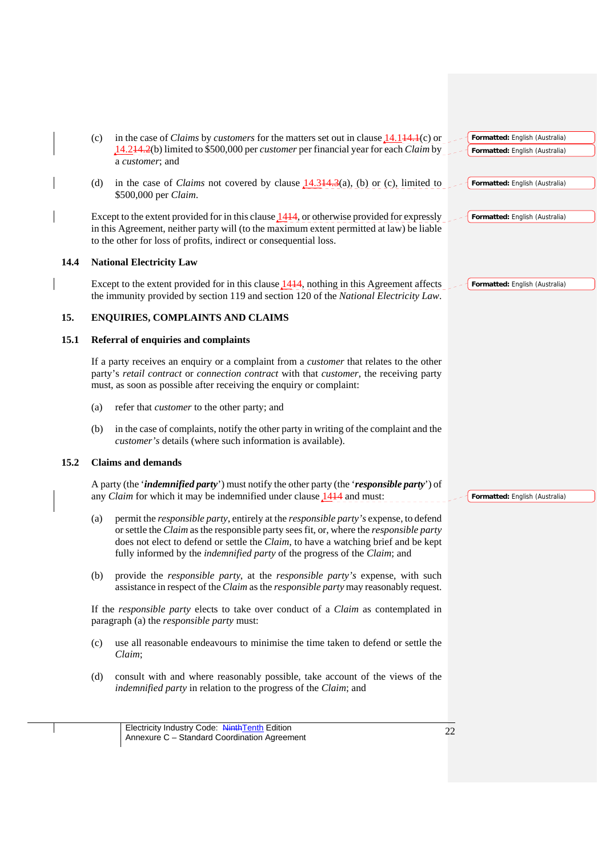|      | (c) | in the case of <i>Claims</i> by <i>customers</i> for the matters set out in clause $14.144.1(c)$ or                                                                                                                                                                                                                                                                             |    | Formatted: English (Australia) |
|------|-----|---------------------------------------------------------------------------------------------------------------------------------------------------------------------------------------------------------------------------------------------------------------------------------------------------------------------------------------------------------------------------------|----|--------------------------------|
|      |     | 14.244.2(b) limited to \$500,000 per customer per financial year for each Claim by<br>a customer; and                                                                                                                                                                                                                                                                           |    | Formatted: English (Australia) |
|      | (d) | in the case of <i>Claims</i> not covered by clause $14.344.3(a)$ , (b) or (c), limited to<br>\$500,000 per Claim.                                                                                                                                                                                                                                                               |    | Formatted: English (Australia) |
|      |     | Except to the extent provided for in this clause $14+4$ , or otherwise provided for expressly<br>in this Agreement, neither party will (to the maximum extent permitted at law) be liable<br>to the other for loss of profits, indirect or consequential loss.                                                                                                                  |    | Formatted: English (Australia) |
| 14.4 |     | <b>National Electricity Law</b>                                                                                                                                                                                                                                                                                                                                                 |    |                                |
|      |     | Except to the extent provided for in this clause 1444, nothing in this Agreement affects<br>the immunity provided by section 119 and section 120 of the National Electricity Law.                                                                                                                                                                                               |    | Formatted: English (Australia) |
| 15.  |     | ENQUIRIES, COMPLAINTS AND CLAIMS                                                                                                                                                                                                                                                                                                                                                |    |                                |
| 15.1 |     | Referral of enquiries and complaints                                                                                                                                                                                                                                                                                                                                            |    |                                |
|      |     | If a party receives an enquiry or a complaint from a <i>customer</i> that relates to the other<br>party's retail contract or connection contract with that customer, the receiving party<br>must, as soon as possible after receiving the enquiry or complaint:                                                                                                                 |    |                                |
|      | (a) | refer that <i>customer</i> to the other party; and                                                                                                                                                                                                                                                                                                                              |    |                                |
|      | (b) | in the case of complaints, notify the other party in writing of the complaint and the<br>customer's details (where such information is available).                                                                                                                                                                                                                              |    |                                |
| 15.2 |     | <b>Claims and demands</b>                                                                                                                                                                                                                                                                                                                                                       |    |                                |
|      |     | A party (the 'indemnified party') must notify the other party (the 'responsible party') of<br>any <i>Claim</i> for which it may be indemnified under clause $1414$ and must:                                                                                                                                                                                                    |    | Formatted: English (Australia) |
|      | (a) | permit the <i>responsible party</i> , entirely at the <i>responsible party's</i> expense, to defend<br>or settle the Claim as the responsible party sees fit, or, where the responsible party<br>does not elect to defend or settle the Claim, to have a watching brief and be kept<br>fully informed by the <i>indemnified party</i> of the progress of the <i>Claim</i> ; and |    |                                |
|      | (b) | provide the <i>responsible party</i> , at the <i>responsible party's</i> expense, with such<br>assistance in respect of the Claim as the responsible party may reasonably request.                                                                                                                                                                                              |    |                                |
|      |     | If the responsible party elects to take over conduct of a Claim as contemplated in<br>paragraph (a) the <i>responsible party</i> must:                                                                                                                                                                                                                                          |    |                                |
|      | (c) | use all reasonable endeavours to minimise the time taken to defend or settle the<br>Claim;                                                                                                                                                                                                                                                                                      |    |                                |
|      | (d) | consult with and where reasonably possible, take account of the views of the<br>indemnified party in relation to the progress of the Claim; and                                                                                                                                                                                                                                 |    |                                |
|      |     |                                                                                                                                                                                                                                                                                                                                                                                 |    |                                |
|      |     | Electricity Industry Code: NinthTenth Edition<br>Annexure C - Standard Coordination Agreement                                                                                                                                                                                                                                                                                   | 22 |                                |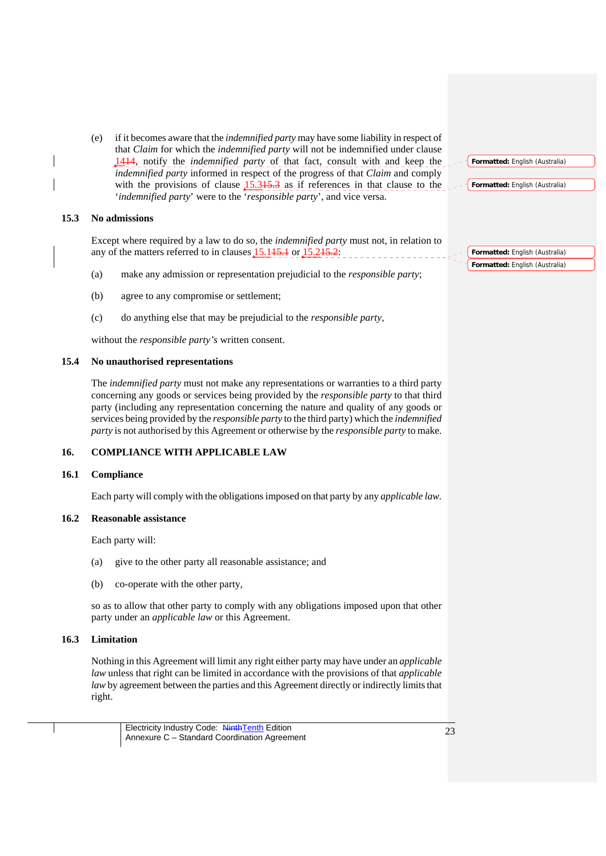(e) if it becomes aware that the *indemnified party* may have some liability in respect of that *Claim* for which the *indemnified party* will not be indemnified under clause 1414, notify the *indemnified party* of that fact, consult with and keep the *indemnified party* informed in respect of the progress of that *Claim* and comply with the provisions of clause  $15.345.3$  as if references in that clause to the '*indemnified party*' were to the '*responsible party*', and vice versa.

### **15.3 No admissions**

Except where required by a law to do so, the *indemnified party* must not, in relation to any of the matters referred to in clauses 15.145.1 or 15.245.2:

- (a) make any admission or representation prejudicial to the *responsible party*;
- (b) agree to any compromise or settlement;
- (c) do anything else that may be prejudicial to the *responsible party*,

without the *responsible party's* written consent.

### **15.4 No unauthorised representations**

The *indemnified party* must not make any representations or warranties to a third party concerning any goods or services being provided by the *responsible party* to that third party (including any representation concerning the nature and quality of any goods or services being provided by the *responsible party* to the third party) which the *indemnified party* is not authorised by this Agreement or otherwise by the *responsible party* to make.

# **16. COMPLIANCE WITH APPLICABLE LAW**

### **16.1 Compliance**

Each party will comply with the obligations imposed on that party by any *applicable law.*

### **16.2 Reasonable assistance**

Each party will:

- (a) give to the other party all reasonable assistance; and
- (b) co-operate with the other party,

so as to allow that other party to comply with any obligations imposed upon that other party under an *applicable law* or this Agreement.

### **16.3 Limitation**

Nothing in this Agreement will limit any right either party may have under an *applicable law* unless that right can be limited in accordance with the provisions of that *applicable law* by agreement between the parties and this Agreement directly or indirectly limits that right.

**Formatted:** English (Australia)

**Formatted:** English (Australia)

**Formatted:** English (Australia) **Formatted:** English (Australia)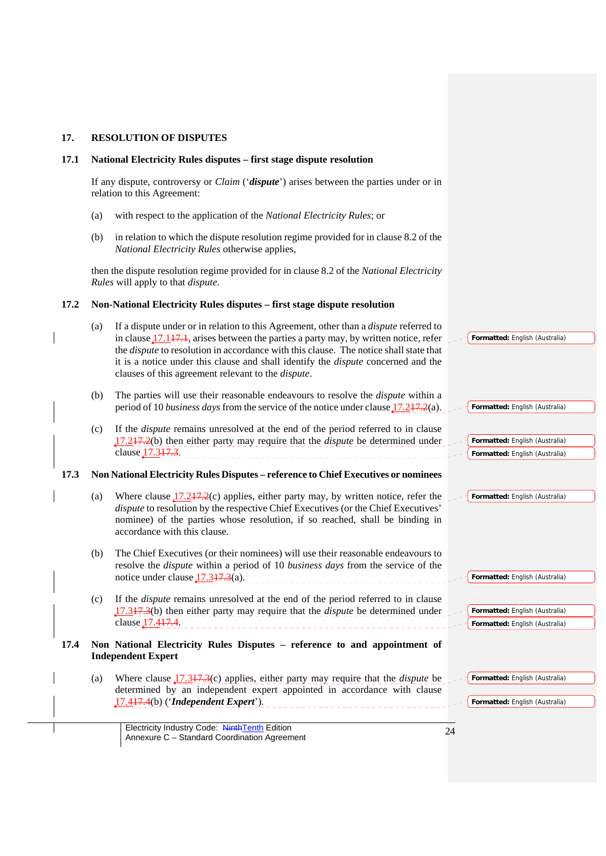| 17.  | <b>RESOLUTION OF DISPUTES</b>                                                                                                                                                                                                                                                                                                                                                                                                                            |                                                                  |
|------|----------------------------------------------------------------------------------------------------------------------------------------------------------------------------------------------------------------------------------------------------------------------------------------------------------------------------------------------------------------------------------------------------------------------------------------------------------|------------------------------------------------------------------|
| 17.1 | National Electricity Rules disputes – first stage dispute resolution                                                                                                                                                                                                                                                                                                                                                                                     |                                                                  |
|      | If any dispute, controversy or <i>Claim</i> (' <i>dispute</i> ') arises between the parties under or in<br>relation to this Agreement:                                                                                                                                                                                                                                                                                                                   |                                                                  |
|      | with respect to the application of the National Electricity Rules; or<br>(a)                                                                                                                                                                                                                                                                                                                                                                             |                                                                  |
|      | in relation to which the dispute resolution regime provided for in clause 8.2 of the<br>(b)<br>National Electricity Rules otherwise applies,                                                                                                                                                                                                                                                                                                             |                                                                  |
|      | then the dispute resolution regime provided for in clause 8.2 of the National Electricity<br>Rules will apply to that <i>dispute</i> .                                                                                                                                                                                                                                                                                                                   |                                                                  |
| 17.2 | Non-National Electricity Rules disputes - first stage dispute resolution                                                                                                                                                                                                                                                                                                                                                                                 |                                                                  |
|      | If a dispute under or in relation to this Agreement, other than a <i>dispute</i> referred to<br>(a)<br>in clause $17.117.1$ , arises between the parties a party may, by written notice, refer<br>the <i>dispute</i> to resolution in accordance with this clause. The notice shall state that<br>it is a notice under this clause and shall identify the <i>dispute</i> concerned and the<br>clauses of this agreement relevant to the <i>dispute</i> . | Formatted: English (Australia)                                   |
|      | The parties will use their reasonable endeavours to resolve the <i>dispute</i> within a<br>(b)<br>period of 10 business days from the service of the notice under clause $17.247.2(a)$ .                                                                                                                                                                                                                                                                 | Formatted: English (Australia)                                   |
|      | If the <i>dispute</i> remains unresolved at the end of the period referred to in clause<br>(c)<br>17.247.2(b) then either party may require that the <i>dispute</i> be determined under<br>clause 17.3+7.3.                                                                                                                                                                                                                                              | Formatted: English (Australia)<br>Formatted: English (Australia) |
| 17.3 | Non National Electricity Rules Disputes - reference to Chief Executives or nominees                                                                                                                                                                                                                                                                                                                                                                      |                                                                  |
|      | Where clause $17.247.2(c)$ applies, either party may, by written notice, refer the<br>(a)<br>dispute to resolution by the respective Chief Executives (or the Chief Executives'<br>nominee) of the parties whose resolution, if so reached, shall be binding in<br>accordance with this clause.                                                                                                                                                          | Formatted: English (Australia)                                   |
|      | The Chief Executives (or their nominees) will use their reasonable endeavours to<br>(b)<br>resolve the <i>dispute</i> within a period of 10 <i>business days</i> from the service of the<br>notice under clause $17.347.3(a)$ .                                                                                                                                                                                                                          | Formatted: English (Australia)                                   |
|      | If the <i>dispute</i> remains unresolved at the end of the period referred to in clause<br>(c)<br>$17.347.3(b)$ then either party may require that the <i>dispute</i> be determined under<br>clause 17.447.4.                                                                                                                                                                                                                                            | Formatted: English (Australia)<br>Formatted: English (Australia) |
| 17.4 | Non National Electricity Rules Disputes - reference to and appointment of<br><b>Independent Expert</b>                                                                                                                                                                                                                                                                                                                                                   |                                                                  |
|      | Where clause $17.347.3(c)$ applies, either party may require that the <i>dispute</i> be<br>(a)<br>determined by an independent expert appointed in accordance with clause<br>17.447.4(b) ('Independent Expert').                                                                                                                                                                                                                                         | Formatted: English (Australia)<br>Formatted: English (Australia) |
|      | Electricity Industry Code: NinthTenth Edition                                                                                                                                                                                                                                                                                                                                                                                                            |                                                                  |
|      | Annexure C - Standard Coordination Agreement                                                                                                                                                                                                                                                                                                                                                                                                             | 24                                                               |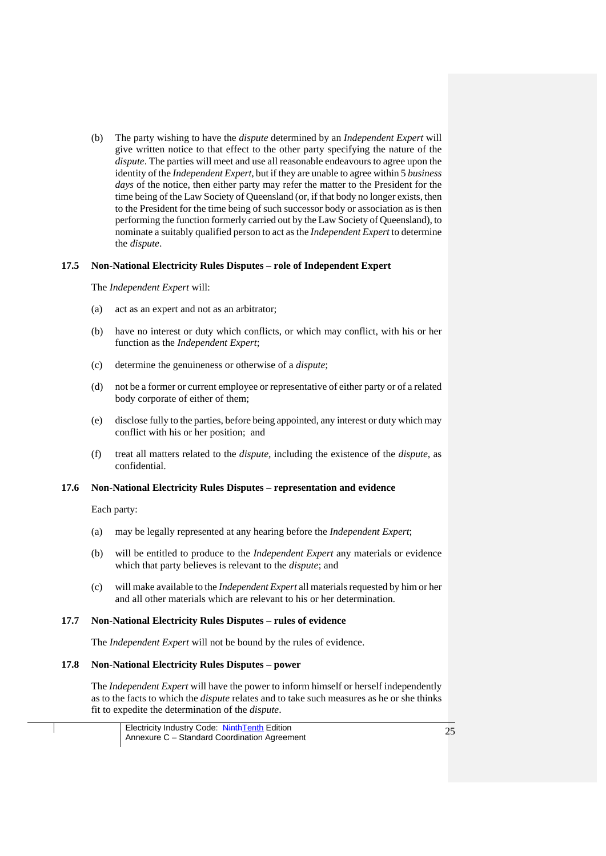(b) The party wishing to have the *dispute* determined by an *Independent Expert* will give written notice to that effect to the other party specifying the nature of the *dispute*. The parties will meet and use all reasonable endeavours to agree upon the identity of the *Independent Expert*, but if they are unable to agree within 5 *business days* of the notice, then either party may refer the matter to the President for the time being of the Law Society of Queensland (or, if that body no longer exists, then to the President for the time being of such successor body or association as is then performing the function formerly carried out by the Law Society of Queensland), to nominate a suitably qualified person to act as the *Independent Expert* to determine the *dispute*.

### **17.5 Non-National Electricity Rules Disputes – role of Independent Expert**

The *Independent Expert* will:

- (a) act as an expert and not as an arbitrator;
- (b) have no interest or duty which conflicts, or which may conflict, with his or her function as the *Independent Expert*;
- (c) determine the genuineness or otherwise of a *dispute*;
- (d) not be a former or current employee or representative of either party or of a related body corporate of either of them;
- (e) disclose fully to the parties, before being appointed, any interest or duty which may conflict with his or her position; and
- (f) treat all matters related to the *dispute*, including the existence of the *dispute*, as confidential.

#### **17.6 Non-National Electricity Rules Disputes – representation and evidence**

Each party:

- (a) may be legally represented at any hearing before the *Independent Expert*;
- (b) will be entitled to produce to the *Independent Expert* any materials or evidence which that party believes is relevant to the *dispute*; and
- (c) will make available to the *Independent Expert* all materials requested by him or her and all other materials which are relevant to his or her determination.

#### **17.7 Non-National Electricity Rules Disputes – rules of evidence**

The *Independent Expert* will not be bound by the rules of evidence.

### **17.8 Non-National Electricity Rules Disputes – power**

The *Independent Expert* will have the power to inform himself or herself independently as to the facts to which the *dispute* relates and to take such measures as he or she thinks fit to expedite the determination of the *dispute*.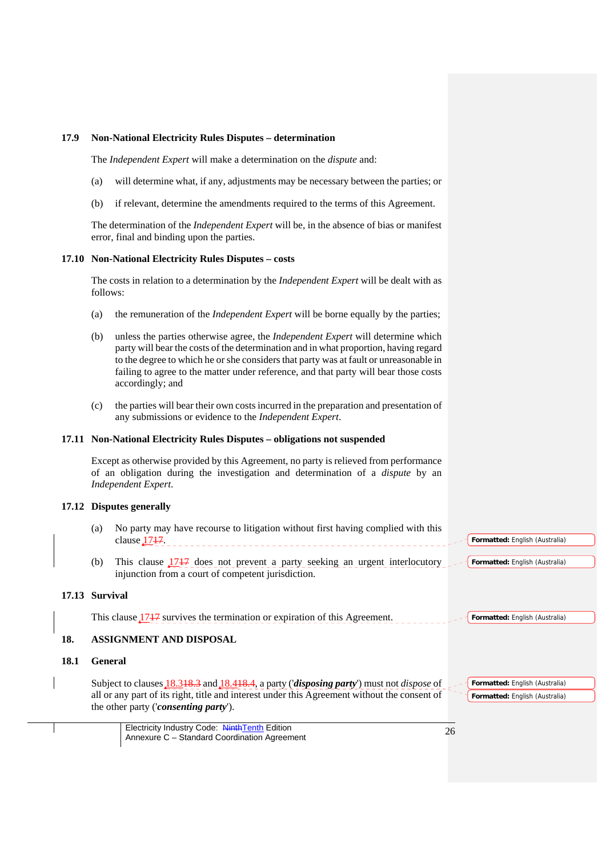### **17.9 Non-National Electricity Rules Disputes – determination**

The *Independent Expert* will make a determination on the *dispute* and:

- (a) will determine what, if any, adjustments may be necessary between the parties; or
- (b) if relevant, determine the amendments required to the terms of this Agreement.

The determination of the *Independent Expert* will be, in the absence of bias or manifest error, final and binding upon the parties.

#### **17.10 Non-National Electricity Rules Disputes – costs**

The costs in relation to a determination by the *Independent Expert* will be dealt with as follows:

- (a) the remuneration of the *Independent Expert* will be borne equally by the parties;
- (b) unless the parties otherwise agree, the *Independent Expert* will determine which party will bear the costs of the determination and in what proportion, having regard to the degree to which he or she considers that party was at fault or unreasonable in failing to agree to the matter under reference, and that party will bear those costs accordingly; and
- (c) the parties will bear their own costs incurred in the preparation and presentation of any submissions or evidence to the *Independent Expert*.

#### **17.11 Non-National Electricity Rules Disputes – obligations not suspended**

Except as otherwise provided by this Agreement, no party is relieved from performance of an obligation during the investigation and determination of a *dispute* by an *Independent Expert*.

## **17.12 Disputes generally**

- (a) No party may have recourse to litigation without first having complied with this clause 1747. **Formatted:** English (Australia)
- (b) This clause 1717 does not prevent a party seeking an urgent interlocutory injunction from a court of competent jurisdiction.

#### **17.13 Survival**

This clause  $1717$  survives the termination or expiration of this Agreement. **Formatted:** English (Australia)

### **18. ASSIGNMENT AND DISPOSAL**

## **18.1 General**

Subject to clauses 18.318.3 and 18.418.4, a party ('*disposing party*') must not *dispose* of all or any part of its right, title and interest under this Agreement without the consent of the other party ('*consenting party*').

**Formatted:** English (Australia) **Formatted:** English (Australia)

**Formatted:** English (Australia)

Electricity Industry Code: NinthTenth Edition Electricity Industry Code: Ninth Lenth Edition<br>Annexure C – Standard Coordination Agreement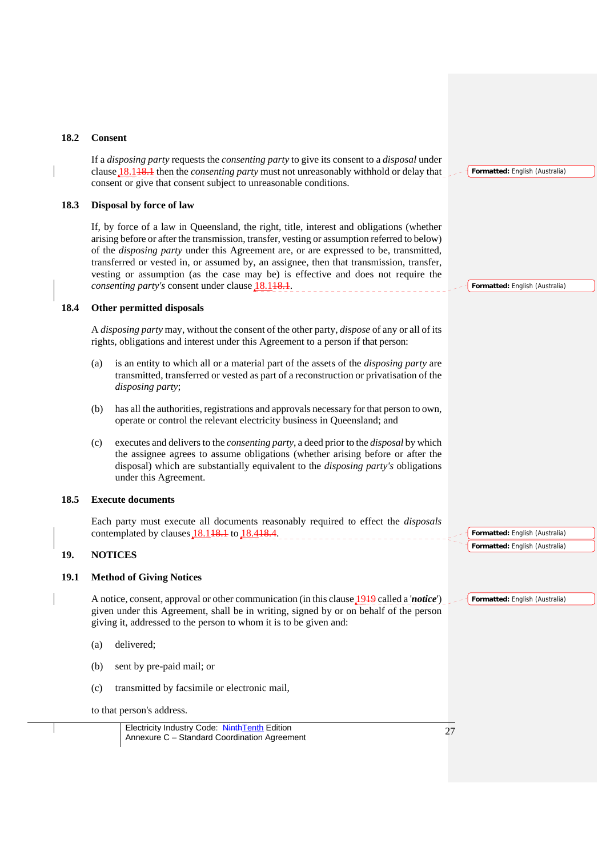### **18.2 Consent**

If a *disposing party* requests the *consenting party* to give its consent to a *disposal* under clause 18.118.1 then the *consenting party* must not unreasonably withhold or delay that consent or give that consent subject to unreasonable conditions.

## **18.3 Disposal by force of law**

If, by force of a law in Queensland, the right, title, interest and obligations (whether arising before or after the transmission, transfer, vesting or assumption referred to below) of the *disposing party* under this Agreement are, or are expressed to be, transmitted, transferred or vested in, or assumed by, an assignee, then that transmission, transfer, vesting or assumption (as the case may be) is effective and does not require the *consenting party's* consent under clause 18.148.1.

#### **18.4 Other permitted disposals**

A *disposing party* may, without the consent of the other party, *dispose* of any or all of its rights, obligations and interest under this Agreement to a person if that person:

- (a) is an entity to which all or a material part of the assets of the *disposing party* are transmitted, transferred or vested as part of a reconstruction or privatisation of the *disposing party*;
- (b) has all the authorities, registrations and approvals necessary for that person to own, operate or control the relevant electricity business in Queensland; and
- (c) executes and delivers to the *consenting party*, a deed prior to the *disposal* by which the assignee agrees to assume obligations (whether arising before or after the disposal) which are substantially equivalent to the *disposing party's* obligations under this Agreement.

#### **18.5 Execute documents**

Each party must execute all documents reasonably required to effect the *disposals* contemplated by clauses 18.118.1 to 18.418.4.

## **19. NOTICES**

### **19.1 Method of Giving Notices**

A notice, consent, approval or other communication (in this clause 1919 called a '*notice*') given under this Agreement, shall be in writing, signed by or on behalf of the person giving it, addressed to the person to whom it is to be given and:

- (a) delivered;
- (b) sent by pre-paid mail; or
- (c) transmitted by facsimile or electronic mail,

to that person's address.

Electricity Industry Code: NinthTenth Edition Electricity Industry Code: Ninth Lenth Edition<br>Annexure C – Standard Coordination Agreement **Formatted:** English (Australia)

**Formatted:** English (Australia)

**Formatted:** English (Australia) **Formatted:** English (Australia)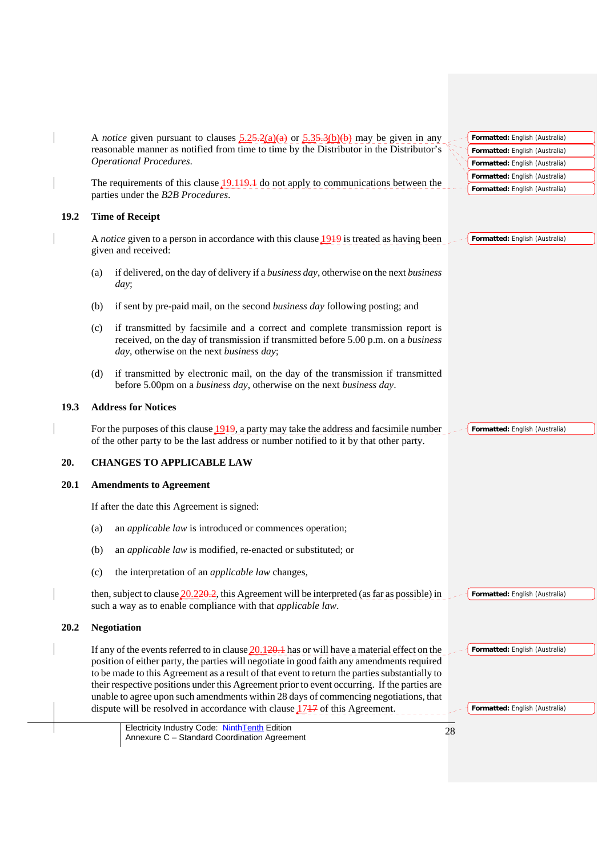|      | A <i>notice</i> given pursuant to clauses $\frac{5.25 \cdot 2(a)(a)}{2}$ or $\frac{5.35 \cdot 3(b)(b)}{2}$ may be given in any<br>Formatted: English (Australia)                                                                                                                                                                                                                                                                                                                                                                                                                                                                           |
|------|--------------------------------------------------------------------------------------------------------------------------------------------------------------------------------------------------------------------------------------------------------------------------------------------------------------------------------------------------------------------------------------------------------------------------------------------------------------------------------------------------------------------------------------------------------------------------------------------------------------------------------------------|
|      | reasonable manner as notified from time to time by the Distributor in the Distributor's<br>Formatted: English (Australia)                                                                                                                                                                                                                                                                                                                                                                                                                                                                                                                  |
|      | <b>Operational Procedures.</b><br>Formatted: English (Australia)                                                                                                                                                                                                                                                                                                                                                                                                                                                                                                                                                                           |
|      | Formatted: English (Australia)<br>The requirements of this clause $19.149.1$ do not apply to communications between the                                                                                                                                                                                                                                                                                                                                                                                                                                                                                                                    |
|      | Formatted: English (Australia)<br>parties under the B2B Procedures.                                                                                                                                                                                                                                                                                                                                                                                                                                                                                                                                                                        |
| 19.2 | <b>Time of Receipt</b>                                                                                                                                                                                                                                                                                                                                                                                                                                                                                                                                                                                                                     |
|      | A <i>notice</i> given to a person in accordance with this clause 1949 is treated as having been<br>Formatted: English (Australia)<br>given and received:                                                                                                                                                                                                                                                                                                                                                                                                                                                                                   |
|      | if delivered, on the day of delivery if a <i>business day</i> , otherwise on the next <i>business</i><br>(a)<br>day;                                                                                                                                                                                                                                                                                                                                                                                                                                                                                                                       |
|      | (b)<br>if sent by pre-paid mail, on the second <i>business day</i> following posting; and                                                                                                                                                                                                                                                                                                                                                                                                                                                                                                                                                  |
|      | if transmitted by facsimile and a correct and complete transmission report is<br>(c)<br>received, on the day of transmission if transmitted before 5.00 p.m. on a business<br>day, otherwise on the next business day;                                                                                                                                                                                                                                                                                                                                                                                                                     |
|      | if transmitted by electronic mail, on the day of the transmission if transmitted<br>(d)<br>before 5.00pm on a business day, otherwise on the next business day.                                                                                                                                                                                                                                                                                                                                                                                                                                                                            |
| 19.3 | <b>Address for Notices</b>                                                                                                                                                                                                                                                                                                                                                                                                                                                                                                                                                                                                                 |
|      | For the purposes of this clause $1919$ , a party may take the address and facsimile number<br>Formatted: English (Australia)<br>of the other party to be the last address or number notified to it by that other party.                                                                                                                                                                                                                                                                                                                                                                                                                    |
| 20.  | <b>CHANGES TO APPLICABLE LAW</b>                                                                                                                                                                                                                                                                                                                                                                                                                                                                                                                                                                                                           |
| 20.1 | <b>Amendments to Agreement</b>                                                                                                                                                                                                                                                                                                                                                                                                                                                                                                                                                                                                             |
|      | If after the date this Agreement is signed:                                                                                                                                                                                                                                                                                                                                                                                                                                                                                                                                                                                                |
|      | an <i>applicable law</i> is introduced or commences operation;<br>(a)                                                                                                                                                                                                                                                                                                                                                                                                                                                                                                                                                                      |
|      | an <i>applicable law</i> is modified, re-enacted or substituted; or<br>(b)                                                                                                                                                                                                                                                                                                                                                                                                                                                                                                                                                                 |
|      | the interpretation of an <i>applicable law</i> changes,<br>(c)                                                                                                                                                                                                                                                                                                                                                                                                                                                                                                                                                                             |
|      | then, subject to clause $20.220.2$ , this Agreement will be interpreted (as far as possible) in<br>Formatted: English (Australia)<br>such a way as to enable compliance with that applicable law.                                                                                                                                                                                                                                                                                                                                                                                                                                          |
| 20.2 | <b>Negotiation</b>                                                                                                                                                                                                                                                                                                                                                                                                                                                                                                                                                                                                                         |
|      | If any of the events referred to in clause $20.120.1$ has or will have a material effect on the<br>Formatted: English (Australia)<br>position of either party, the parties will negotiate in good faith any amendments required<br>to be made to this Agreement as a result of that event to return the parties substantially to<br>their respective positions under this Agreement prior to event occurring. If the parties are<br>unable to agree upon such amendments within 28 days of commencing negotiations, that<br>dispute will be resolved in accordance with clause $1717$ of this Agreement.<br>Formatted: English (Australia) |
|      | Electricity Industry Code: NinthTenth Edition<br>28<br>Annexure C - Standard Coordination Agreement                                                                                                                                                                                                                                                                                                                                                                                                                                                                                                                                        |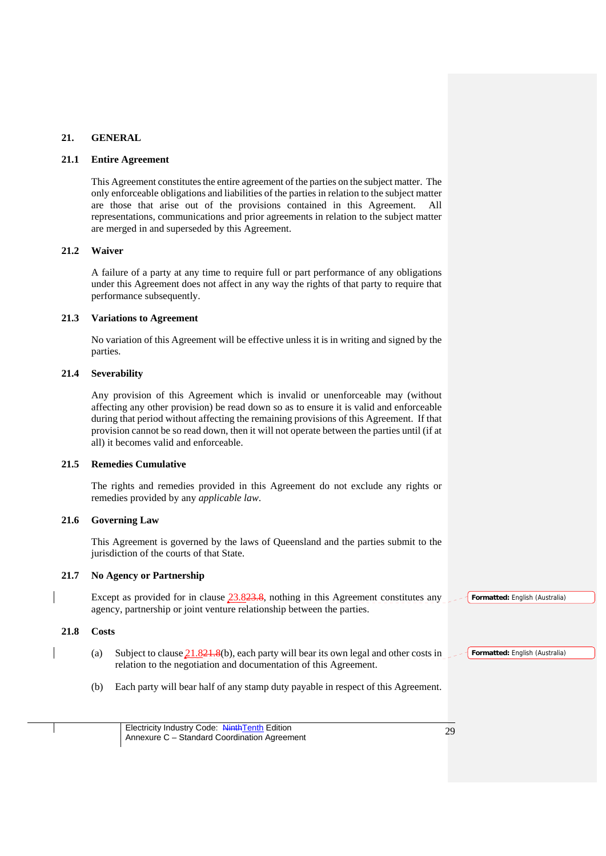### **21. GENERAL**

#### **21.1 Entire Agreement**

This Agreement constitutes the entire agreement of the parties on the subject matter. The only enforceable obligations and liabilities of the parties in relation to the subject matter are those that arise out of the provisions contained in this Agreement. All representations, communications and prior agreements in relation to the subject matter are merged in and superseded by this Agreement.

### **21.2 Waiver**

A failure of a party at any time to require full or part performance of any obligations under this Agreement does not affect in any way the rights of that party to require that performance subsequently.

### **21.3 Variations to Agreement**

No variation of this Agreement will be effective unless it is in writing and signed by the parties.

### **21.4 Severability**

Any provision of this Agreement which is invalid or unenforceable may (without affecting any other provision) be read down so as to ensure it is valid and enforceable during that period without affecting the remaining provisions of this Agreement. If that provision cannot be so read down, then it will not operate between the parties until (if at all) it becomes valid and enforceable.

### **21.5 Remedies Cumulative**

The rights and remedies provided in this Agreement do not exclude any rights or remedies provided by any *applicable law*.

## **21.6 Governing Law**

This Agreement is governed by the laws of Queensland and the parties submit to the jurisdiction of the courts of that State.

### **21.7 No Agency or Partnership**

Except as provided for in clause 23.823.8, nothing in this Agreement constitutes any **Formatted:** English (Australia) agency, partnership or joint venture relationship between the parties.

### **21.8 Costs**

- (a) Subject to clause  $21.821.8(b)$ , each party will bear its own legal and other costs in relation to the negotiation and documentation of this Agreement.
- (b) Each party will bear half of any stamp duty payable in respect of this Agreement.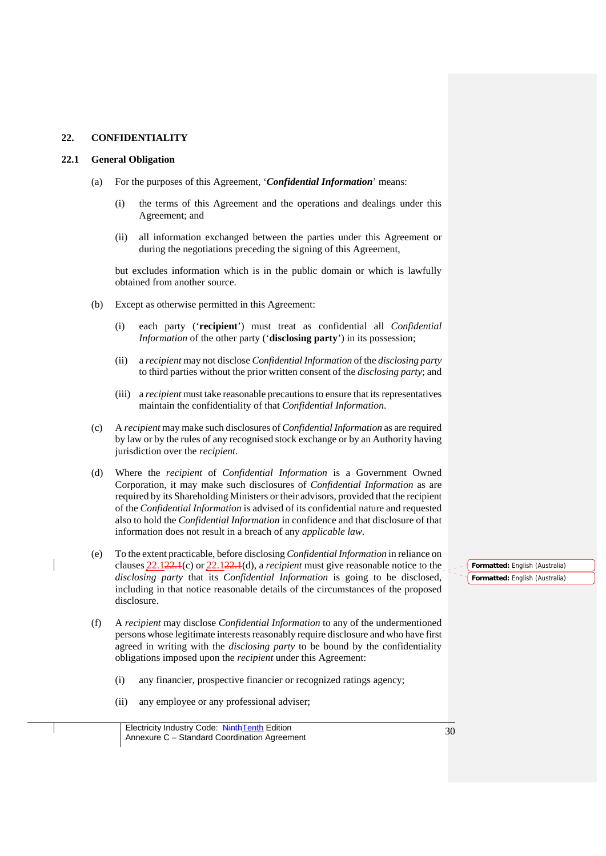### **22. CONFIDENTIALITY**

#### **22.1 General Obligation**

- (a) For the purposes of this Agreement, '*Confidential Information*' means:
	- (i) the terms of this Agreement and the operations and dealings under this Agreement; and
	- (ii) all information exchanged between the parties under this Agreement or during the negotiations preceding the signing of this Agreement,

but excludes information which is in the public domain or which is lawfully obtained from another source.

- (b) Except as otherwise permitted in this Agreement:
	- (i) each party ('**recipient**') must treat as confidential all *Confidential Information* of the other party ('**disclosing party**') in its possession;
	- (ii) a *recipient* may not disclose *Confidential Information* of the *disclosing party* to third parties without the prior written consent of the *disclosing party*; and
	- (iii) a *recipient* must take reasonable precautions to ensure that its representatives maintain the confidentiality of that *Confidential Information*.
- (c) A *recipient* may make such disclosures of *Confidential Information* as are required by law or by the rules of any recognised stock exchange or by an Authority having jurisdiction over the *recipient*.
- (d) Where the *recipient* of *Confidential Information* is a Government Owned Corporation, it may make such disclosures of *Confidential Information* as are required by its Shareholding Ministers or their advisors, provided that the recipient of the *Confidential Information* is advised of its confidential nature and requested also to hold the *Confidential Information* in confidence and that disclosure of that information does not result in a breach of any *applicable law*.
- (e) To the extent practicable, before disclosing *Confidential Information* in reliance on clauses 22.122.1(c) or 22.122.1(d), a *recipient* must give reasonable notice to the *disclosing party* that its *Confidential Information* is going to be disclosed, including in that notice reasonable details of the circumstances of the proposed disclosure.
- (f) A *recipient* may disclose *Confidential Information* to any of the undermentioned persons whose legitimate interests reasonably require disclosure and who have first agreed in writing with the *disclosing party* to be bound by the confidentiality obligations imposed upon the *recipient* under this Agreement:
	- (i) any financier, prospective financier or recognized ratings agency;
	- (ii) any employee or any professional adviser;

**Formatted:** English (Australia) **Formatted:** English (Australia)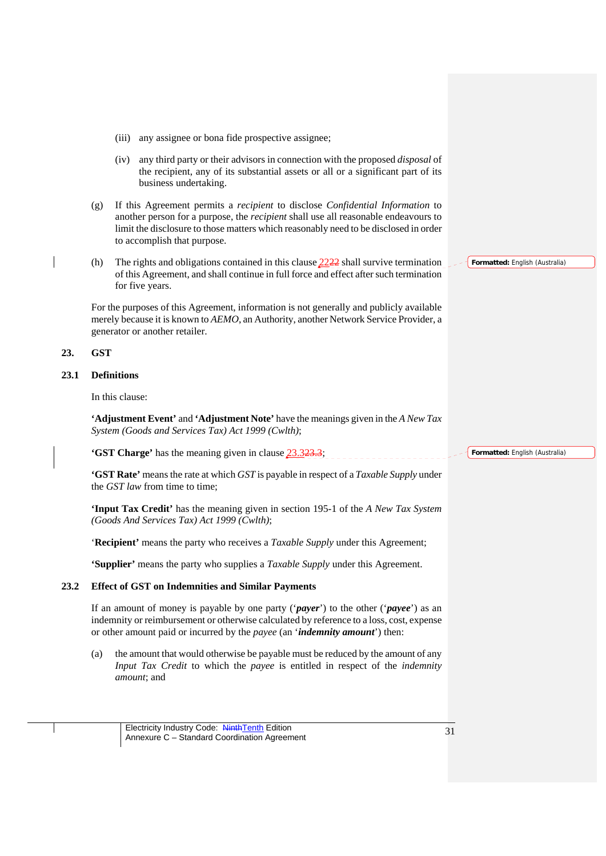- (iii) any assignee or bona fide prospective assignee;
- (iv) any third party or their advisors in connection with the proposed *disposal* of the recipient, any of its substantial assets or all or a significant part of its business undertaking.
- (g) If this Agreement permits a *recipient* to disclose *Confidential Information* to another person for a purpose, the *recipient* shall use all reasonable endeavours to limit the disclosure to those matters which reasonably need to be disclosed in order to accomplish that purpose.
- (h) The rights and obligations contained in this clause 2222 shall survive termination of this Agreement, and shall continue in full force and effect after such termination for five years.

For the purposes of this Agreement, information is not generally and publicly available merely because it is known to *AEMO*, an Authority, another Network Service Provider, a generator or another retailer.

### **23. GST**

## **23.1 Definitions**

In this clause:

**'Adjustment Event'** and **'Adjustment Note'** have the meanings given in the *A New Tax System (Goods and Services Tax) Act 1999 (Cwlth)*;

**'GST Charge'** has the meaning given in clause 23.323.3;

**'GST Rate'** means the rate at which *GST* is payable in respect of a *Taxable Supply* under the *GST law* from time to time;

**'Input Tax Credit'** has the meaning given in section 195-1 of the *A New Tax System (Goods And Services Tax) Act 1999 (Cwlth)*;

'**Recipient'** means the party who receives a *Taxable Supply* under this Agreement;

**'Supplier'** means the party who supplies a *Taxable Supply* under this Agreement.

### **23.2 Effect of GST on Indemnities and Similar Payments**

If an amount of money is payable by one party ('*payer*') to the other ('*payee*') as an indemnity or reimbursement or otherwise calculated by reference to a loss, cost, expense or other amount paid or incurred by the *payee* (an '*indemnity amount*') then:

(a) the amount that would otherwise be payable must be reduced by the amount of any *Input Tax Credit* to which the *payee* is entitled in respect of the *indemnity amount*; and

Electricity Industry Code: NinthTenth Edition Electricity Industry Code: NinthTenth Edition<br>Annexure C – Standard Coordination Agreement **Formatted:** English (Australia)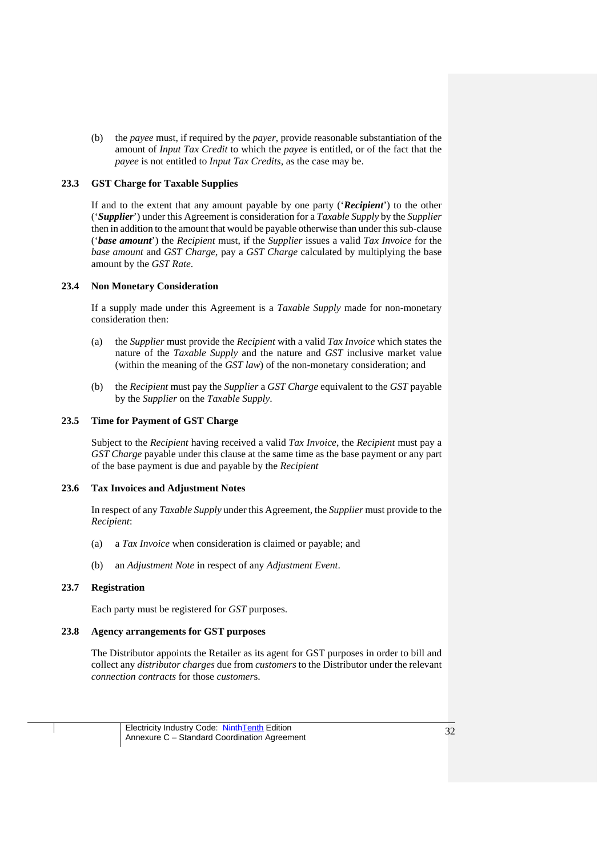(b) the *payee* must, if required by the *payer*, provide reasonable substantiation of the amount of *Input Tax Credit* to which the *payee* is entitled, or of the fact that the *payee* is not entitled to *Input Tax Credits*, as the case may be.

### **23.3 GST Charge for Taxable Supplies**

If and to the extent that any amount payable by one party ('*Recipient*') to the other ('*Supplier*') under this Agreement is consideration for a *Taxable Supply* by the *Supplier* then in addition to the amount that would be payable otherwise than under this sub-clause ('*base amount*') the *Recipient* must, if the *Supplier* issues a valid *Tax Invoice* for the *base amount* and *GST Charge*, pay a *GST Charge* calculated by multiplying the base amount by the *GST Rate*.

### **23.4 Non Monetary Consideration**

If a supply made under this Agreement is a *Taxable Supply* made for non-monetary consideration then:

- (a) the *Supplier* must provide the *Recipient* with a valid *Tax Invoice* which states the nature of the *Taxable Supply* and the nature and *GST* inclusive market value (within the meaning of the *GST law*) of the non-monetary consideration; and
- (b) the *Recipient* must pay the *Supplier* a *GST Charge* equivalent to the *GST* payable by the *Supplier* on the *Taxable Supply*.

### **23.5 Time for Payment of GST Charge**

Subject to the *Recipient* having received a valid *Tax Invoice*, the *Recipient* must pay a *GST Charge* payable under this clause at the same time as the base payment or any part of the base payment is due and payable by the *Recipient*

### **23.6 Tax Invoices and Adjustment Notes**

In respect of any *Taxable Supply* under this Agreement, the *Supplier* must provide to the *Recipient*:

- (a) a *Tax Invoice* when consideration is claimed or payable; and
- (b) an *Adjustment Note* in respect of any *Adjustment Event*.

### **23.7 Registration**

Each party must be registered for *GST* purposes.

## **23.8 Agency arrangements for GST purposes**

The Distributor appoints the Retailer as its agent for GST purposes in order to bill and collect any *distributor charges* due from *customers* to the Distributor under the relevant *connection contracts* for those *customer*s.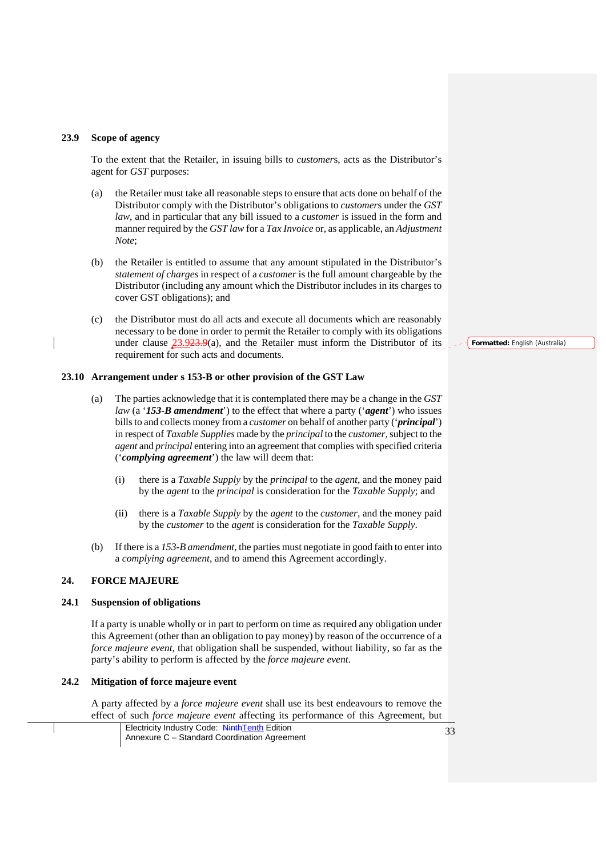#### **23.9 Scope of agency**

To the extent that the Retailer, in issuing bills to *customer*s, acts as the Distributor's agent for *GST* purposes:

- (a) the Retailer must take all reasonable steps to ensure that acts done on behalf of the Distributor comply with the Distributor's obligations to *customer*s under the *GST law*, and in particular that any bill issued to a *customer* is issued in the form and manner required by the *GST law* for a *Tax Invoice* or, as applicable, an *Adjustment Note*;
- (b) the Retailer is entitled to assume that any amount stipulated in the Distributor's *statement of charges* in respect of a *customer* is the full amount chargeable by the Distributor (including any amount which the Distributor includes in its charges to cover GST obligations); and
- (c) the Distributor must do all acts and execute all documents which are reasonably necessary to be done in order to permit the Retailer to comply with its obligations under clause  $23.923.9(a)$ , and the Retailer must inform the Distributor of its requirement for such acts and documents.

#### **23.10 Arrangement under s 153-B or other provision of the GST Law**

- (a) The parties acknowledge that it is contemplated there may be a change in the *GST law* (a '*153-B amendment*') to the effect that where a party ('*agent*') who issues bills to and collects money from a *customer* on behalf of another party ('*principal*') in respect of *Taxable Supplies* made by the *principal* to the *customer*, subject to the *agent* and *principal* entering into an agreement that complies with specified criteria ('*complying agreement*') the law will deem that:
	- (i) there is a *Taxable Supply* by the *principal* to the *agent*, and the money paid by the *agent* to the *principal* is consideration for the *Taxable Supply*; and
	- (ii) there is a *Taxable Supply* by the *agent* to the *customer*, and the money paid by the *customer* to the *agent* is consideration for the *Taxable Supply*.
- (b) If there is a *153-B amendment*, the parties must negotiate in good faith to enter into a *complying agreement*, and to amend this Agreement accordingly.

## **24. FORCE MAJEURE**

#### **24.1 Suspension of obligations**

If a party is unable wholly or in part to perform on time as required any obligation under this Agreement (other than an obligation to pay money) by reason of the occurrence of a *force majeure event*, that obligation shall be suspended, without liability, so far as the party's ability to perform is affected by the *force majeure event*.

#### **24.2 Mitigation of force majeure event**

A party affected by a *force majeure event* shall use its best endeavours to remove the effect of such *force majeure event* affecting its performance of this Agreement, but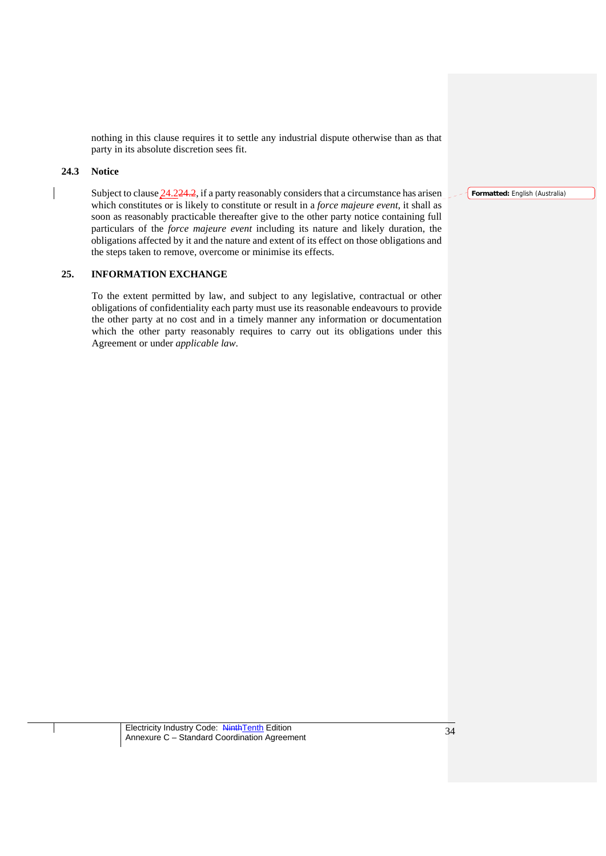nothing in this clause requires it to settle any industrial dispute otherwise than as that party in its absolute discretion sees fit.

### **24.3 Notice**

Subject to clause  $24.224.2$ , if a party reasonably considers that a circumstance has arisen which constitutes or is likely to constitute or result in a *force majeure event*, it shall as soon as reasonably practicable thereafter give to the other party notice containing full particulars of the *force majeure event* including its nature and likely duration, the obligations affected by it and the nature and extent of its effect on those obligations and the steps taken to remove, overcome or minimise its effects.

# **25. INFORMATION EXCHANGE**

To the extent permitted by law, and subject to any legislative, contractual or other obligations of confidentiality each party must use its reasonable endeavours to provide the other party at no cost and in a timely manner any information or documentation which the other party reasonably requires to carry out its obligations under this Agreement or under *applicable law*.